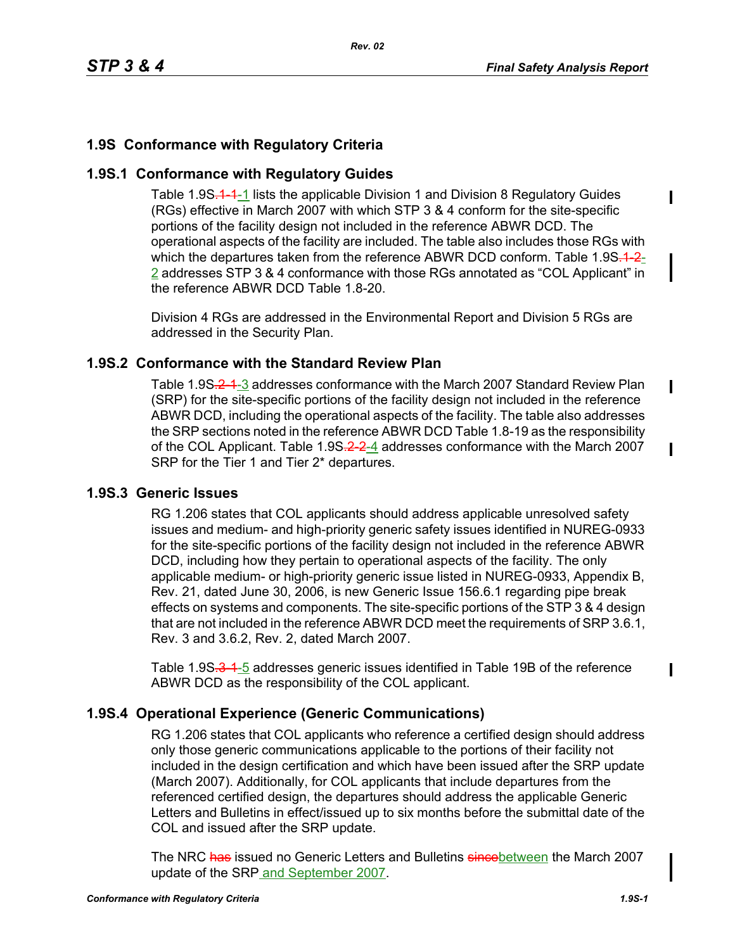Ι

 $\mathbf I$ 

I

## **1.9S Conformance with Regulatory Criteria**

## **1.9S.1 Conformance with Regulatory Guides**

Table 1.9S.<sup>4</sup>-1 lists the applicable Division 1 and Division 8 Regulatory Guides (RGs) effective in March 2007 with which STP 3 & 4 conform for the site-specific portions of the facility design not included in the reference ABWR DCD. The operational aspects of the facility are included. The table also includes those RGs with which the departures taken from the reference ABWR DCD conform. Table  $1.9S<sub>-1</sub> - 2$ 2 addresses STP 3 & 4 conformance with those RGs annotated as "COL Applicant" in the reference ABWR DCD Table 1.8-20.

Division 4 RGs are addressed in the Environmental Report and Division 5 RGs are addressed in the Security Plan.

### **1.9S.2 Conformance with the Standard Review Plan**

Table 1.9S<del>.2-1</del>-3 addresses conformance with the March 2007 Standard Review Plan (SRP) for the site-specific portions of the facility design not included in the reference ABWR DCD, including the operational aspects of the facility. The table also addresses the SRP sections noted in the reference ABWR DCD Table 1.8-19 as the responsibility of the COL Applicant. Table 1.9S-2-2-4 addresses conformance with the March 2007 SRP for the Tier 1 and Tier 2\* departures.

### **1.9S.3 Generic Issues**

RG 1.206 states that COL applicants should address applicable unresolved safety issues and medium- and high-priority generic safety issues identified in NUREG-0933 for the site-specific portions of the facility design not included in the reference ABWR DCD, including how they pertain to operational aspects of the facility. The only applicable medium- or high-priority generic issue listed in NUREG-0933, Appendix B, Rev. 21, dated June 30, 2006, is new Generic Issue 156.6.1 regarding pipe break effects on systems and components. The site-specific portions of the STP 3 & 4 design that are not included in the reference ABWR DCD meet the requirements of SRP 3.6.1, Rev. 3 and 3.6.2, Rev. 2, dated March 2007.

Table 1.9S.3-1-5 addresses generic issues identified in Table 19B of the reference ABWR DCD as the responsibility of the COL applicant.

## **1.9S.4 Operational Experience (Generic Communications)**

RG 1.206 states that COL applicants who reference a certified design should address only those generic communications applicable to the portions of their facility not included in the design certification and which have been issued after the SRP update (March 2007). Additionally, for COL applicants that include departures from the referenced certified design, the departures should address the applicable Generic Letters and Bulletins in effect/issued up to six months before the submittal date of the COL and issued after the SRP update.

The NRC has issued no Generic Letters and Bulletins since between the March 2007 update of the SRP and September 2007.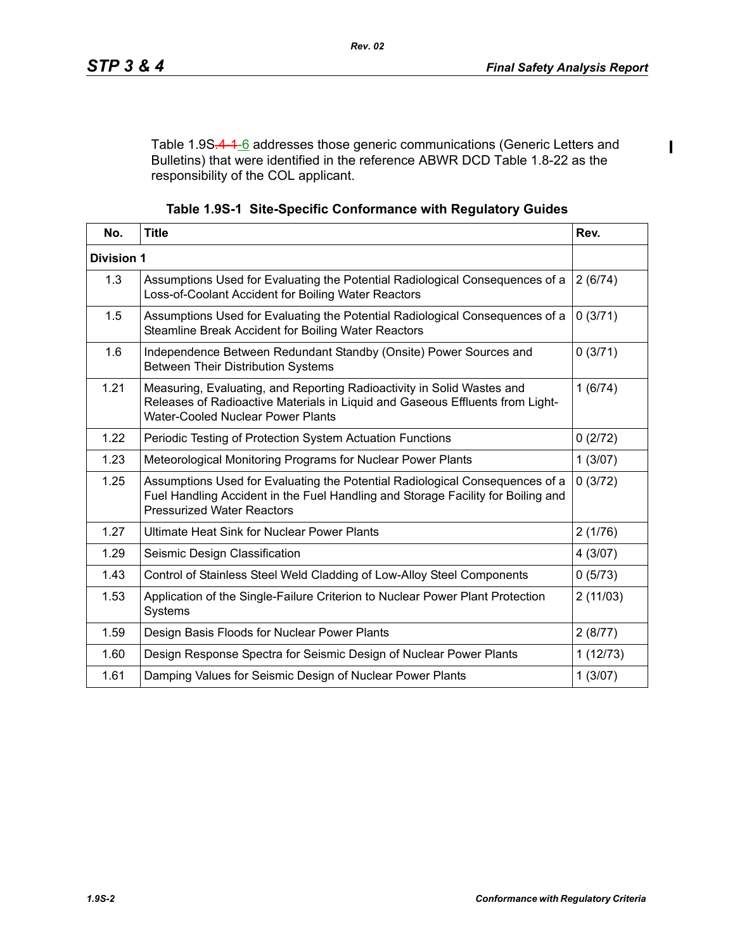$\blacksquare$ 

Table 1.9S-4-1-6 addresses those generic communications (Generic Letters and Bulletins) that were identified in the reference ABWR DCD Table 1.8-22 as the responsibility of the COL applicant.

|  | Table 1.9S-1 Site-Specific Conformance with Regulatory Guides |  |  |
|--|---------------------------------------------------------------|--|--|
|  |                                                               |  |  |

| No.               | <b>Title</b>                                                                                                                                                                                          | Rev.     |
|-------------------|-------------------------------------------------------------------------------------------------------------------------------------------------------------------------------------------------------|----------|
| <b>Division 1</b> |                                                                                                                                                                                                       |          |
| 1.3               | Assumptions Used for Evaluating the Potential Radiological Consequences of a<br>Loss-of-Coolant Accident for Boiling Water Reactors                                                                   | 2(6/74)  |
| 1.5               | Assumptions Used for Evaluating the Potential Radiological Consequences of a<br>Steamline Break Accident for Boiling Water Reactors                                                                   | 0(3/71)  |
| 1.6               | Independence Between Redundant Standby (Onsite) Power Sources and<br><b>Between Their Distribution Systems</b>                                                                                        | 0(3/71)  |
| 1.21              | Measuring, Evaluating, and Reporting Radioactivity in Solid Wastes and<br>Releases of Radioactive Materials in Liquid and Gaseous Effluents from Light-<br><b>Water-Cooled Nuclear Power Plants</b>   | 1(6/74)  |
| 1.22              | Periodic Testing of Protection System Actuation Functions                                                                                                                                             | 0(2/72)  |
| 1.23              | Meteorological Monitoring Programs for Nuclear Power Plants                                                                                                                                           | 1(3/07)  |
| 1.25              | Assumptions Used for Evaluating the Potential Radiological Consequences of a<br>Fuel Handling Accident in the Fuel Handling and Storage Facility for Boiling and<br><b>Pressurized Water Reactors</b> | 0(3/72)  |
| 1.27              | Ultimate Heat Sink for Nuclear Power Plants                                                                                                                                                           | 2(1/76)  |
| 1.29              | Seismic Design Classification                                                                                                                                                                         | 4(3/07)  |
| 1.43              | Control of Stainless Steel Weld Cladding of Low-Alloy Steel Components                                                                                                                                | 0(5/73)  |
| 1.53              | Application of the Single-Failure Criterion to Nuclear Power Plant Protection<br>Systems                                                                                                              | 2(11/03) |
| 1.59              | Design Basis Floods for Nuclear Power Plants                                                                                                                                                          | 2(8/77)  |
| 1.60              | Design Response Spectra for Seismic Design of Nuclear Power Plants                                                                                                                                    | 1(12/73) |
| 1.61              | Damping Values for Seismic Design of Nuclear Power Plants                                                                                                                                             | 1(3/07)  |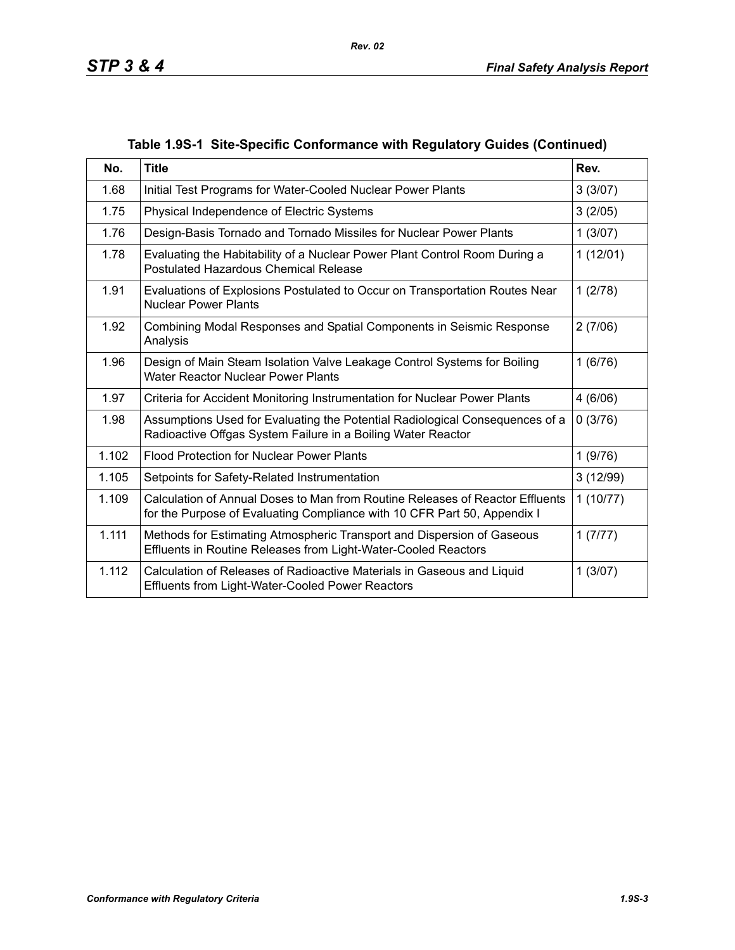| No.   | <b>Title</b>                                                                                                                                              | Rev.     |
|-------|-----------------------------------------------------------------------------------------------------------------------------------------------------------|----------|
| 1.68  | Initial Test Programs for Water-Cooled Nuclear Power Plants                                                                                               | 3(3/07)  |
| 1.75  | Physical Independence of Electric Systems                                                                                                                 | 3(2/05)  |
| 1.76  | Design-Basis Tornado and Tornado Missiles for Nuclear Power Plants                                                                                        | 1(3/07)  |
| 1.78  | Evaluating the Habitability of a Nuclear Power Plant Control Room During a<br><b>Postulated Hazardous Chemical Release</b>                                | 1(12/01) |
| 1.91  | Evaluations of Explosions Postulated to Occur on Transportation Routes Near<br><b>Nuclear Power Plants</b>                                                | 1(2/78)  |
| 1.92  | Combining Modal Responses and Spatial Components in Seismic Response<br>Analysis                                                                          | 2(7/06)  |
| 1.96  | Design of Main Steam Isolation Valve Leakage Control Systems for Boiling<br><b>Water Reactor Nuclear Power Plants</b>                                     | 1(6/76)  |
| 1.97  | Criteria for Accident Monitoring Instrumentation for Nuclear Power Plants                                                                                 | 4(6/06)  |
| 1.98  | Assumptions Used for Evaluating the Potential Radiological Consequences of a<br>Radioactive Offgas System Failure in a Boiling Water Reactor              | 0(3/76)  |
| 1.102 | <b>Flood Protection for Nuclear Power Plants</b>                                                                                                          | 1(9/76)  |
| 1.105 | Setpoints for Safety-Related Instrumentation                                                                                                              | 3(12/99) |
| 1.109 | Calculation of Annual Doses to Man from Routine Releases of Reactor Effluents<br>for the Purpose of Evaluating Compliance with 10 CFR Part 50, Appendix I | 1(10/77) |
| 1.111 | Methods for Estimating Atmospheric Transport and Dispersion of Gaseous<br>Effluents in Routine Releases from Light-Water-Cooled Reactors                  | 1(7/77)  |
| 1.112 | Calculation of Releases of Radioactive Materials in Gaseous and Liquid<br><b>Effluents from Light-Water-Cooled Power Reactors</b>                         | 1(3/07)  |

## **Table 1.9S-1 Site-Specific Conformance with Regulatory Guides (Continued)**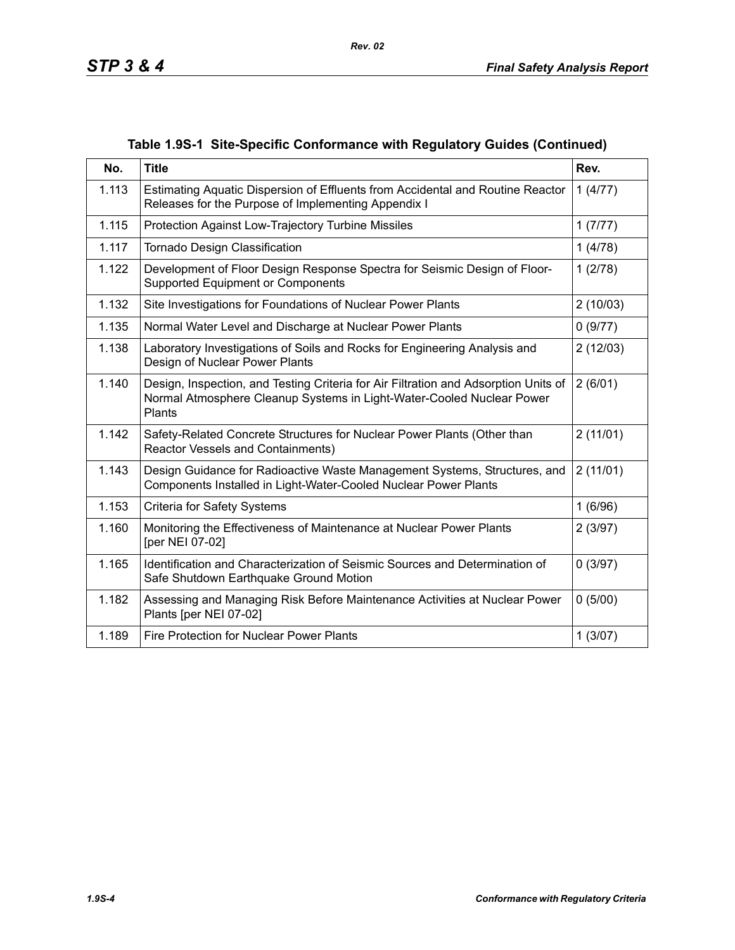| No.   | <b>Title</b>                                                                                                                                                           | Rev.     |
|-------|------------------------------------------------------------------------------------------------------------------------------------------------------------------------|----------|
| 1.113 | Estimating Aquatic Dispersion of Effluents from Accidental and Routine Reactor<br>Releases for the Purpose of Implementing Appendix I                                  | 1(4/77)  |
| 1.115 | Protection Against Low-Trajectory Turbine Missiles                                                                                                                     | 1(7/77)  |
| 1.117 | Tornado Design Classification                                                                                                                                          | 1(4/78)  |
| 1.122 | Development of Floor Design Response Spectra for Seismic Design of Floor-<br>Supported Equipment or Components                                                         | 1(2/78)  |
| 1.132 | Site Investigations for Foundations of Nuclear Power Plants                                                                                                            | 2(10/03) |
| 1.135 | Normal Water Level and Discharge at Nuclear Power Plants                                                                                                               | 0(9/77)  |
| 1.138 | Laboratory Investigations of Soils and Rocks for Engineering Analysis and<br>Design of Nuclear Power Plants                                                            | 2(12/03) |
| 1.140 | Design, Inspection, and Testing Criteria for Air Filtration and Adsorption Units of<br>Normal Atmosphere Cleanup Systems in Light-Water-Cooled Nuclear Power<br>Plants | 2(6/01)  |
| 1.142 | Safety-Related Concrete Structures for Nuclear Power Plants (Other than<br>Reactor Vessels and Containments)                                                           | 2(11/01) |
| 1.143 | Design Guidance for Radioactive Waste Management Systems, Structures, and<br>Components Installed in Light-Water-Cooled Nuclear Power Plants                           | 2(11/01) |
| 1.153 | <b>Criteria for Safety Systems</b>                                                                                                                                     | 1(6/96)  |
| 1.160 | Monitoring the Effectiveness of Maintenance at Nuclear Power Plants<br>[per NEI 07-02]                                                                                 | 2(3/97)  |
| 1.165 | Identification and Characterization of Seismic Sources and Determination of<br>Safe Shutdown Earthquake Ground Motion                                                  | 0(3/97)  |
| 1.182 | Assessing and Managing Risk Before Maintenance Activities at Nuclear Power<br>Plants [per NEI 07-02]                                                                   | 0(5/00)  |
| 1.189 | Fire Protection for Nuclear Power Plants                                                                                                                               | 1(3/07)  |

## **Table 1.9S-1 Site-Specific Conformance with Regulatory Guides (Continued)**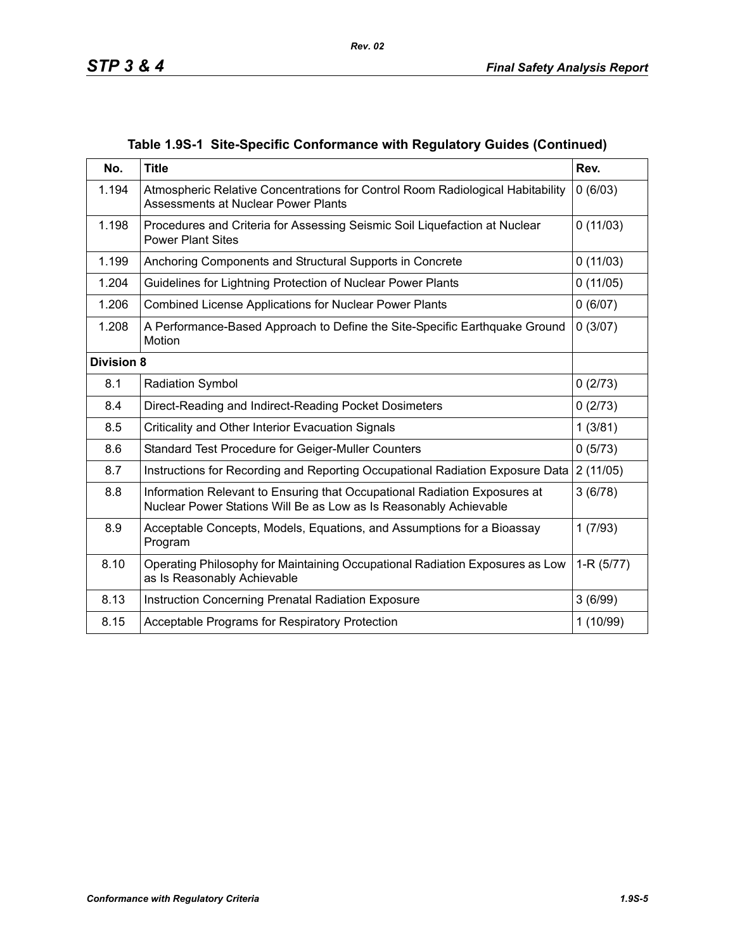|  |  |  | Table 1.9S-1 Site-Specific Conformance with Regulatory Guides (Continued) |  |  |
|--|--|--|---------------------------------------------------------------------------|--|--|
|--|--|--|---------------------------------------------------------------------------|--|--|

| No.               | <b>Title</b>                                                                                                                                   | Rev.        |
|-------------------|------------------------------------------------------------------------------------------------------------------------------------------------|-------------|
| 1.194             | Atmospheric Relative Concentrations for Control Room Radiological Habitability<br>Assessments at Nuclear Power Plants                          | 0(6/03)     |
| 1.198             | Procedures and Criteria for Assessing Seismic Soil Liquefaction at Nuclear<br><b>Power Plant Sites</b>                                         | 0(11/03)    |
| 1.199             | Anchoring Components and Structural Supports in Concrete                                                                                       | 0(11/03)    |
| 1.204             | Guidelines for Lightning Protection of Nuclear Power Plants                                                                                    | 0(11/05)    |
| 1.206             | <b>Combined License Applications for Nuclear Power Plants</b>                                                                                  | 0(6/07)     |
| 1.208             | A Performance-Based Approach to Define the Site-Specific Earthquake Ground<br>Motion                                                           | 0(3/07)     |
| <b>Division 8</b> |                                                                                                                                                |             |
| 8.1               | <b>Radiation Symbol</b>                                                                                                                        | 0(2/73)     |
| 8.4               | Direct-Reading and Indirect-Reading Pocket Dosimeters                                                                                          | 0(2/73)     |
| 8.5               | Criticality and Other Interior Evacuation Signals                                                                                              | 1(3/81)     |
| 8.6               | Standard Test Procedure for Geiger-Muller Counters                                                                                             | 0(5/73)     |
| 8.7               | Instructions for Recording and Reporting Occupational Radiation Exposure Data                                                                  | 2(11/05)    |
| 8.8               | Information Relevant to Ensuring that Occupational Radiation Exposures at<br>Nuclear Power Stations Will Be as Low as Is Reasonably Achievable | 3(6/78)     |
| 8.9               | Acceptable Concepts, Models, Equations, and Assumptions for a Bioassay<br>Program                                                              | 1(7/93)     |
| 8.10              | Operating Philosophy for Maintaining Occupational Radiation Exposures as Low<br>as Is Reasonably Achievable                                    | $1-R(5/77)$ |
| 8.13              | Instruction Concerning Prenatal Radiation Exposure                                                                                             | 3(6/99)     |
| 8.15              | Acceptable Programs for Respiratory Protection                                                                                                 | 1(10/99)    |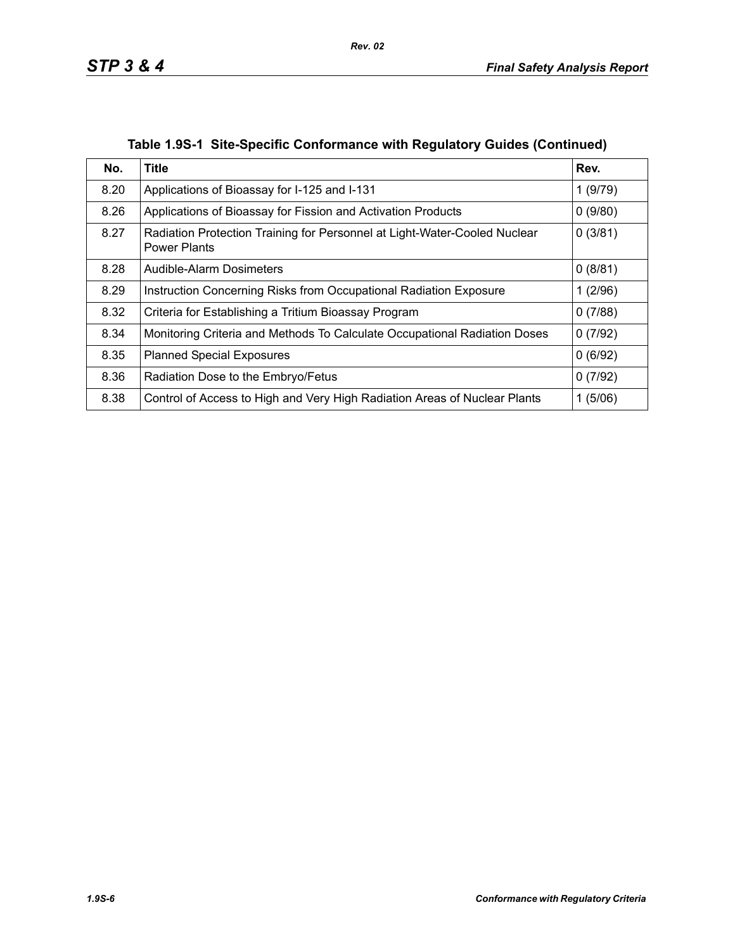| No.  | Title                                                                                            | Rev.    |
|------|--------------------------------------------------------------------------------------------------|---------|
| 8.20 | Applications of Bioassay for I-125 and I-131                                                     | 1(9/79) |
| 8.26 | Applications of Bioassay for Fission and Activation Products                                     | 0(9/80) |
| 8.27 | Radiation Protection Training for Personnel at Light-Water-Cooled Nuclear<br><b>Power Plants</b> | 0(3/81) |
| 8.28 | Audible-Alarm Dosimeters                                                                         | 0(8/81) |
| 8.29 | Instruction Concerning Risks from Occupational Radiation Exposure                                | 1(2/96) |
| 8.32 | Criteria for Establishing a Tritium Bioassay Program                                             | 0(7/88) |
| 8.34 | Monitoring Criteria and Methods To Calculate Occupational Radiation Doses                        | 0(7/92) |
| 8.35 | <b>Planned Special Exposures</b>                                                                 | 0(6/92) |
| 8.36 | Radiation Dose to the Embryo/Fetus                                                               | 0(7/92) |
| 8.38 | Control of Access to High and Very High Radiation Areas of Nuclear Plants                        | 1(5/06) |

**Table 1.9S-1 Site-Specific Conformance with Regulatory Guides (Continued)**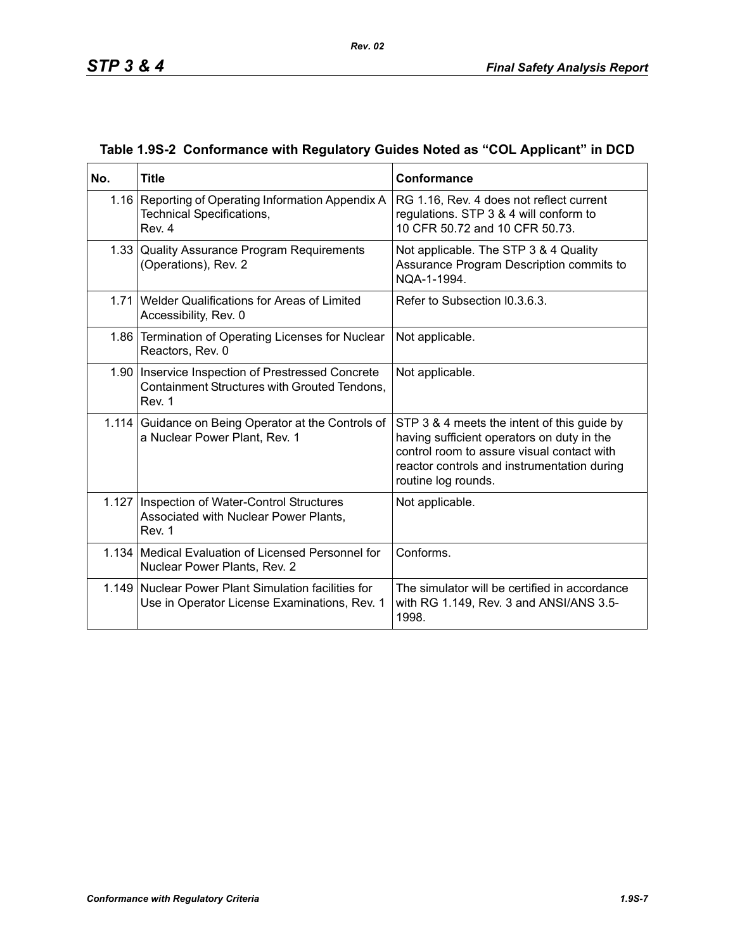| No.   | <b>Title</b>                                                                                                  | <b>Conformance</b>                                                                                                                                                                                            |
|-------|---------------------------------------------------------------------------------------------------------------|---------------------------------------------------------------------------------------------------------------------------------------------------------------------------------------------------------------|
|       | 1.16 Reporting of Operating Information Appendix A<br><b>Technical Specifications,</b><br>Rev. 4              | RG 1.16, Rev. 4 does not reflect current<br>regulations. STP 3 & 4 will conform to<br>10 CFR 50.72 and 10 CFR 50.73.                                                                                          |
|       | 1.33 Quality Assurance Program Requirements<br>(Operations), Rev. 2                                           | Not applicable. The STP 3 & 4 Quality<br>Assurance Program Description commits to<br>NQA-1-1994.                                                                                                              |
|       | 1.71 Welder Qualifications for Areas of Limited<br>Accessibility, Rev. 0                                      | Refer to Subsection I0.3.6.3.                                                                                                                                                                                 |
|       | 1.86 Termination of Operating Licenses for Nuclear<br>Reactors, Rev. 0                                        | Not applicable.                                                                                                                                                                                               |
|       | 1.90   Inservice Inspection of Prestressed Concrete<br>Containment Structures with Grouted Tendons,<br>Rev. 1 | Not applicable.                                                                                                                                                                                               |
|       | 1.114 Guidance on Being Operator at the Controls of<br>a Nuclear Power Plant, Rev. 1                          | STP 3 & 4 meets the intent of this guide by<br>having sufficient operators on duty in the<br>control room to assure visual contact with<br>reactor controls and instrumentation during<br>routine log rounds. |
| 1.127 | Inspection of Water-Control Structures<br>Associated with Nuclear Power Plants,<br>Rev. 1                     | Not applicable.                                                                                                                                                                                               |
|       | 1.134 Medical Evaluation of Licensed Personnel for<br>Nuclear Power Plants, Rev. 2                            | Conforms.                                                                                                                                                                                                     |
| 1.149 | Nuclear Power Plant Simulation facilities for<br>Use in Operator License Examinations, Rev. 1                 | The simulator will be certified in accordance<br>with RG 1.149, Rev. 3 and ANSI/ANS 3.5-<br>1998.                                                                                                             |

### **Table 1.9S-2 Conformance with Regulatory Guides Noted as "COL Applicant" in DCD**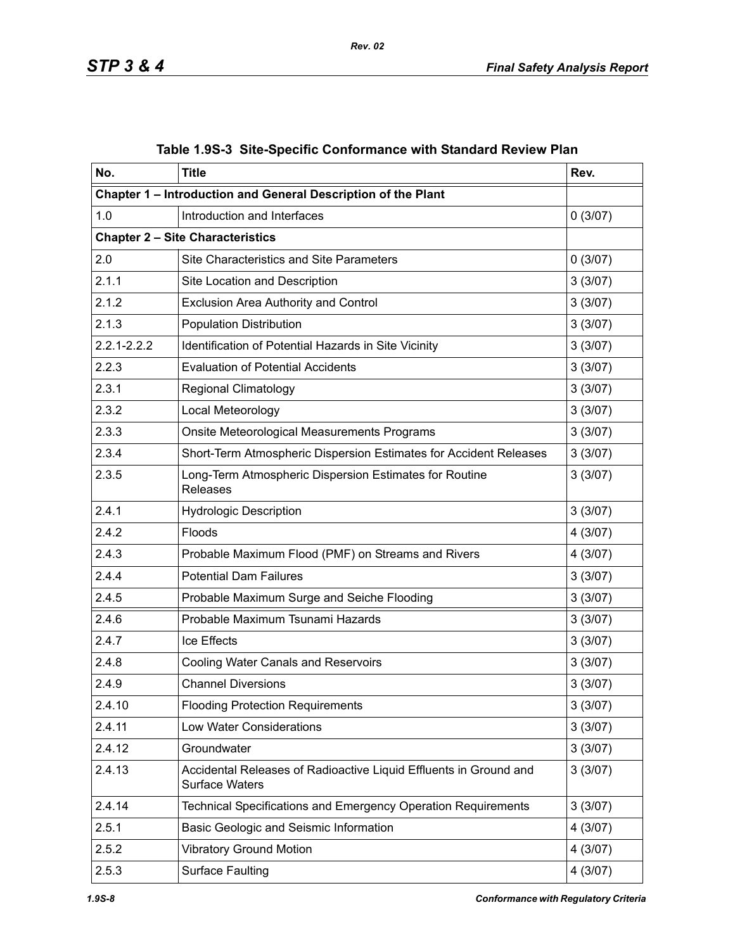| No.             | <b>Title</b>                                                                               | Rev.    |
|-----------------|--------------------------------------------------------------------------------------------|---------|
|                 | Chapter 1 - Introduction and General Description of the Plant                              |         |
| 1.0             | Introduction and Interfaces                                                                | 0(3/07) |
|                 | <b>Chapter 2 - Site Characteristics</b>                                                    |         |
| 2.0             | <b>Site Characteristics and Site Parameters</b>                                            | 0(3/07) |
| 2.1.1           | Site Location and Description                                                              | 3(3/07) |
| 2.1.2           | <b>Exclusion Area Authority and Control</b>                                                | 3(3/07) |
| 2.1.3           | <b>Population Distribution</b>                                                             | 3(3/07) |
| $2.2.1 - 2.2.2$ | Identification of Potential Hazards in Site Vicinity                                       | 3(3/07) |
| 2.2.3           | <b>Evaluation of Potential Accidents</b>                                                   | 3(3/07) |
| 2.3.1           | <b>Regional Climatology</b>                                                                | 3(3/07) |
| 2.3.2           | Local Meteorology                                                                          | 3(3/07) |
| 2.3.3           | Onsite Meteorological Measurements Programs                                                | 3(3/07) |
| 2.3.4           | Short-Term Atmospheric Dispersion Estimates for Accident Releases                          | 3(3/07) |
| 2.3.5           | Long-Term Atmospheric Dispersion Estimates for Routine<br>Releases                         | 3(3/07) |
| 2.4.1           | <b>Hydrologic Description</b>                                                              | 3(3/07) |
| 2.4.2           | Floods                                                                                     | 4(3/07) |
| 2.4.3           | Probable Maximum Flood (PMF) on Streams and Rivers                                         | 4(3/07) |
| 2.4.4           | <b>Potential Dam Failures</b>                                                              | 3(3/07) |
| 2.4.5           | Probable Maximum Surge and Seiche Flooding                                                 | 3(3/07) |
| 2.4.6           | Probable Maximum Tsunami Hazards                                                           | 3(3/07) |
| 2.4.7           | Ice Effects                                                                                | 3(3/07) |
| 2.4.8           | <b>Cooling Water Canals and Reservoirs</b>                                                 | 3(3/07) |
| 2.4.9           | <b>Channel Diversions</b>                                                                  | 3(3/07) |
| 2.4.10          | <b>Flooding Protection Requirements</b>                                                    | 3(3/07) |
| 2.4.11          | <b>Low Water Considerations</b>                                                            | 3(3/07) |
| 2.4.12          | Groundwater                                                                                | 3(3/07) |
| 2.4.13          | Accidental Releases of Radioactive Liquid Effluents in Ground and<br><b>Surface Waters</b> | 3(3/07) |
| 2.4.14          | Technical Specifications and Emergency Operation Requirements                              | 3(3/07) |
| 2.5.1           | Basic Geologic and Seismic Information                                                     | 4(3/07) |
| 2.5.2           | <b>Vibratory Ground Motion</b>                                                             | 4(3/07) |
| 2.5.3           | <b>Surface Faulting</b>                                                                    | 4(3/07) |

|  | Table 1.9S-3 Site-Specific Conformance with Standard Review Plan |  |
|--|------------------------------------------------------------------|--|
|  |                                                                  |  |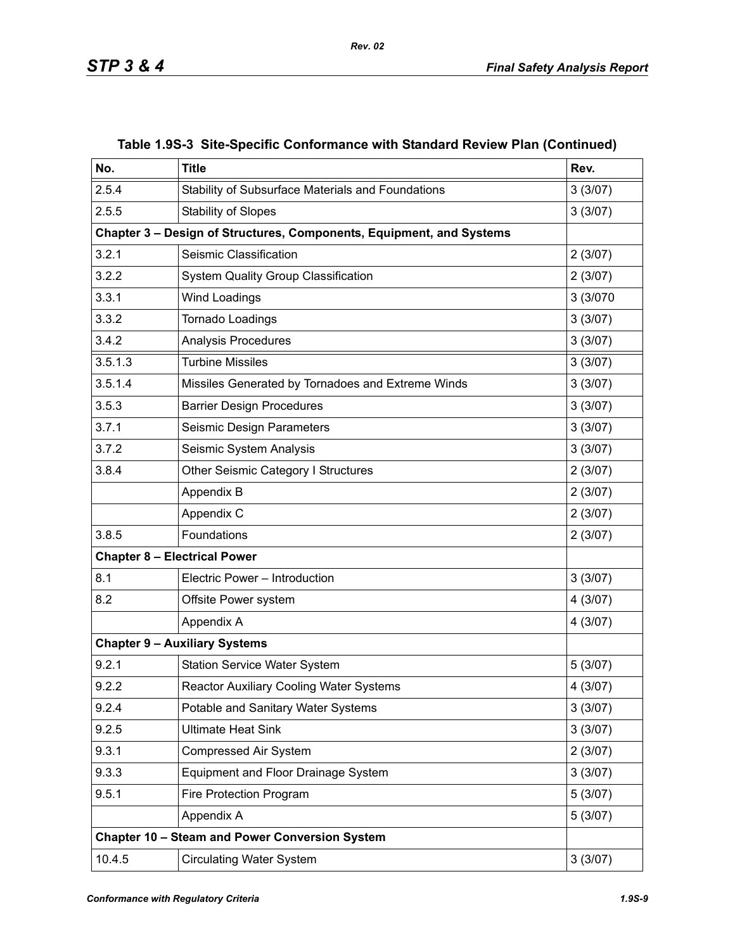| No.     | <b>Title</b>                                                         | Rev.     |
|---------|----------------------------------------------------------------------|----------|
| 2.5.4   | Stability of Subsurface Materials and Foundations                    | 3(3/07)  |
| 2.5.5   | <b>Stability of Slopes</b>                                           | 3(3/07)  |
|         | Chapter 3 - Design of Structures, Components, Equipment, and Systems |          |
| 3.2.1   | Seismic Classification                                               | 2(3/07)  |
| 3.2.2   | <b>System Quality Group Classification</b>                           | 2(3/07)  |
| 3.3.1   | Wind Loadings                                                        | 3 (3/070 |
| 3.3.2   | Tornado Loadings                                                     | 3(3/07)  |
| 3.4.2   | <b>Analysis Procedures</b>                                           | 3(3/07)  |
| 3.5.1.3 | <b>Turbine Missiles</b>                                              | 3(3/07)  |
| 3.5.1.4 | Missiles Generated by Tornadoes and Extreme Winds                    | 3(3/07)  |
| 3.5.3   | <b>Barrier Design Procedures</b>                                     | 3(3/07)  |
| 3.7.1   | Seismic Design Parameters                                            | 3(3/07)  |
| 3.7.2   | Seismic System Analysis                                              | 3(3/07)  |
| 3.8.4   | Other Seismic Category I Structures                                  | 2(3/07)  |
|         | Appendix B                                                           | 2(3/07)  |
|         | Appendix C                                                           | 2(3/07)  |
| 3.8.5   | Foundations                                                          | 2(3/07)  |
|         | <b>Chapter 8 - Electrical Power</b>                                  |          |
| 8.1     | Electric Power - Introduction                                        | 3(3/07)  |
| 8.2     | Offsite Power system                                                 | 4(3/07)  |
|         | Appendix A                                                           | 4(3/07)  |
|         | <b>Chapter 9 - Auxiliary Systems</b>                                 |          |
| 9.2.1   | <b>Station Service Water System</b>                                  | 5(3/07)  |
| 9.2.2   | Reactor Auxiliary Cooling Water Systems                              | 4(3/07)  |
| 9.2.4   | Potable and Sanitary Water Systems                                   | 3(3/07)  |
| 9.2.5   | <b>Ultimate Heat Sink</b>                                            | 3(3/07)  |
| 9.3.1   | <b>Compressed Air System</b>                                         | 2(3/07)  |
| 9.3.3   | Equipment and Floor Drainage System                                  | 3(3/07)  |
| 9.5.1   | Fire Protection Program                                              | 5(3/07)  |
|         | Appendix A                                                           | 5(3/07)  |
|         | Chapter 10 - Steam and Power Conversion System                       |          |
| 10.4.5  | <b>Circulating Water System</b>                                      | 3(3/07)  |

### **Table 1.9S-3 Site-Specific Conformance with Standard Review Plan (Continued)**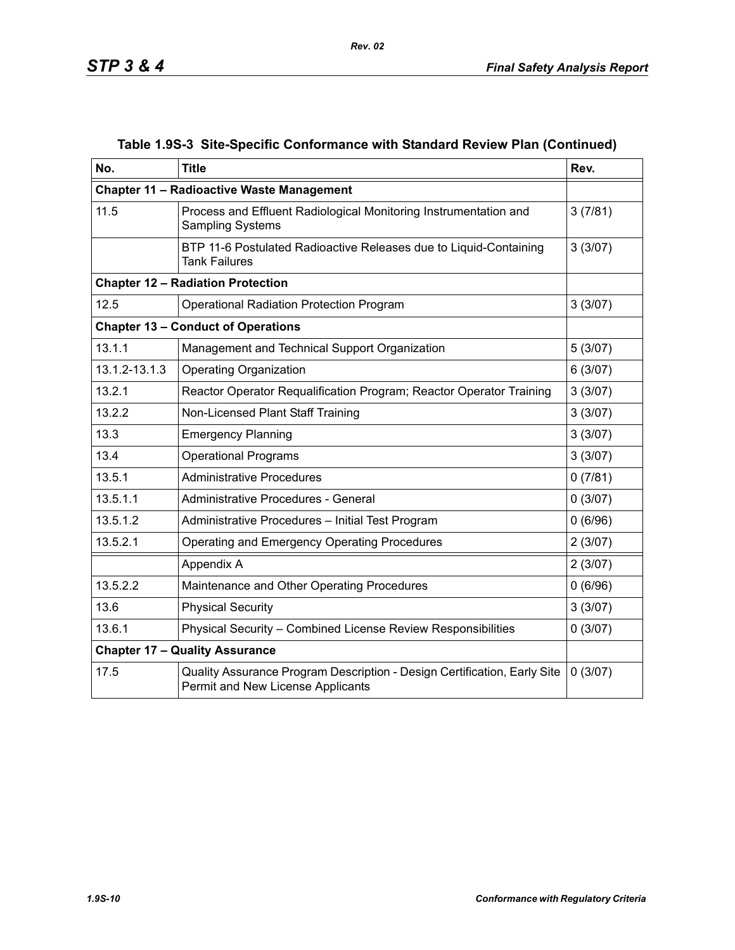| No.                                   | <b>Title</b>                                                                                                  | Rev.    |  |
|---------------------------------------|---------------------------------------------------------------------------------------------------------------|---------|--|
|                                       | <b>Chapter 11 - Radioactive Waste Management</b>                                                              |         |  |
| 11.5                                  | Process and Effluent Radiological Monitoring Instrumentation and<br><b>Sampling Systems</b>                   | 3(7/81) |  |
|                                       | BTP 11-6 Postulated Radioactive Releases due to Liquid-Containing<br><b>Tank Failures</b>                     | 3(3/07) |  |
|                                       | <b>Chapter 12 - Radiation Protection</b>                                                                      |         |  |
| 12.5                                  | Operational Radiation Protection Program                                                                      | 3(3/07) |  |
|                                       | <b>Chapter 13 - Conduct of Operations</b>                                                                     |         |  |
| 13.1.1                                | Management and Technical Support Organization                                                                 | 5(3/07) |  |
| 13.1.2-13.1.3                         | <b>Operating Organization</b>                                                                                 | 6(3/07) |  |
| 13.2.1                                | Reactor Operator Requalification Program; Reactor Operator Training                                           | 3(3/07) |  |
| 13.2.2                                | Non-Licensed Plant Staff Training                                                                             | 3(3/07) |  |
| 13.3                                  | <b>Emergency Planning</b>                                                                                     | 3(3/07) |  |
| 13.4                                  | <b>Operational Programs</b>                                                                                   | 3(3/07) |  |
| 13.5.1                                | <b>Administrative Procedures</b>                                                                              | 0(7/81) |  |
| 13.5.1.1                              | Administrative Procedures - General                                                                           | 0(3/07) |  |
| 13.5.1.2                              | Administrative Procedures - Initial Test Program                                                              | 0(6/96) |  |
| 13.5.2.1                              | Operating and Emergency Operating Procedures                                                                  | 2(3/07) |  |
|                                       | Appendix A                                                                                                    | 2(3/07) |  |
| 13.5.2.2                              | Maintenance and Other Operating Procedures                                                                    | 0(6/96) |  |
| 13.6                                  | <b>Physical Security</b>                                                                                      | 3(3/07) |  |
| 13.6.1                                | Physical Security - Combined License Review Responsibilities                                                  | 0(3/07) |  |
| <b>Chapter 17 - Quality Assurance</b> |                                                                                                               |         |  |
| 17.5                                  | Quality Assurance Program Description - Design Certification, Early Site<br>Permit and New License Applicants | 0(3/07) |  |

## **Table 1.9S-3 Site-Specific Conformance with Standard Review Plan (Continued)**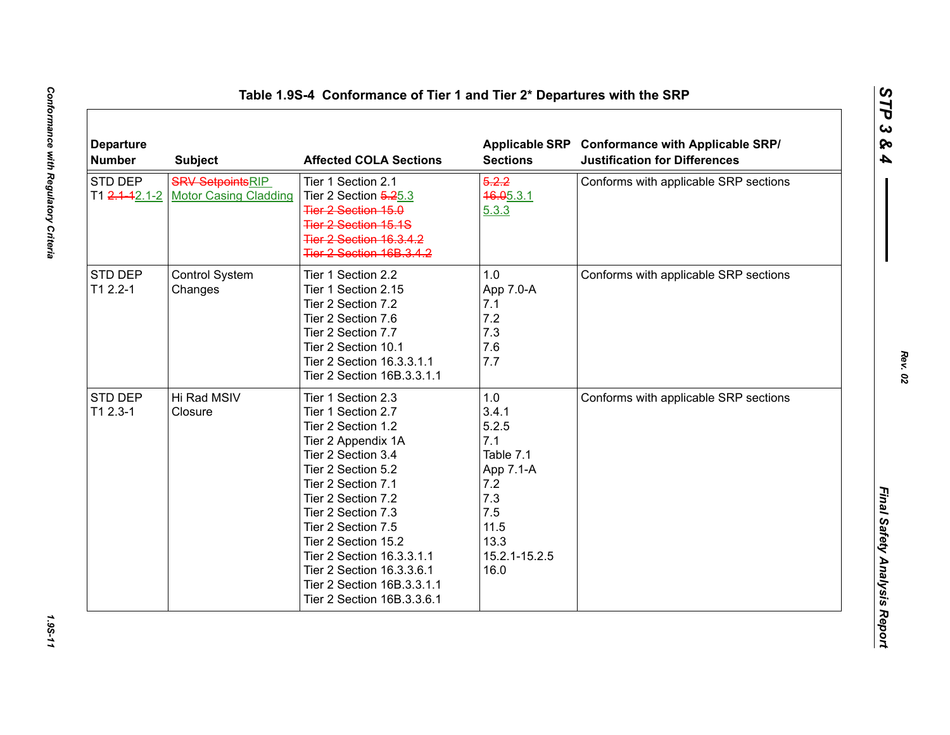| <b>Departure</b><br><b>Number</b> | <b>Subject</b>                                          | <b>Affected COLA Sections</b>                                                                                                                                                                                                                                                                                                                                         | <b>Sections</b>                                                                                                      | Applicable SRP Conformance with Applicable SRP/<br><b>Justification for Differences</b> |
|-----------------------------------|---------------------------------------------------------|-----------------------------------------------------------------------------------------------------------------------------------------------------------------------------------------------------------------------------------------------------------------------------------------------------------------------------------------------------------------------|----------------------------------------------------------------------------------------------------------------------|-----------------------------------------------------------------------------------------|
| STD DEP<br>T1 2.1-12.1-2          | <b>SRV SetpointsRIP</b><br><b>Motor Casing Cladding</b> | Tier 1 Section 2.1<br>Tier 2 Section 5.25.3<br>Tier 2 Section 15.0<br><b>Tier 2 Section 15.1S</b><br><b>Tier 2 Section 16.3.4.2</b><br><b>Tier 2 Section 16B.3.4.2</b>                                                                                                                                                                                                | 5.2.2<br>46.05.3.1<br>5.3.3                                                                                          | Conforms with applicable SRP sections                                                   |
| STD DEP<br>$T12.2 - 1$            | Control System<br>Changes                               | Tier 1 Section 2.2<br>Tier 1 Section 2.15<br>Tier 2 Section 7.2<br>Tier 2 Section 7.6<br>Tier 2 Section 7.7<br>Tier 2 Section 10.1<br>Tier 2 Section 16.3.3.1.1<br>Tier 2 Section 16B.3.3.1.1                                                                                                                                                                         | 1.0<br>App 7.0-A<br>7.1<br>7.2<br>7.3<br>7.6<br>7.7                                                                  | Conforms with applicable SRP sections                                                   |
| STD DEP<br>$T12.3-1$              | Hi Rad MSIV<br>Closure                                  | Tier 1 Section 2.3<br>Tier 1 Section 2.7<br>Tier 2 Section 1.2<br>Tier 2 Appendix 1A<br>Tier 2 Section 3.4<br>Tier 2 Section 5.2<br>Tier 2 Section 7.1<br>Tier 2 Section 7.2<br>Tier 2 Section 7.3<br>Tier 2 Section 7.5<br>Tier 2 Section 15.2<br>Tier 2 Section 16.3.3.1.1<br>Tier 2 Section 16.3.3.6.1<br>Tier 2 Section 16B.3.3.1.1<br>Tier 2 Section 16B.3.3.6.1 | 1.0<br>3.4.1<br>5.2.5<br>7.1<br>Table 7.1<br>App 7.1-A<br>7.2<br>7.3<br>7.5<br>11.5<br>13.3<br>15.2.1-15.2.5<br>16.0 | Conforms with applicable SRP sections                                                   |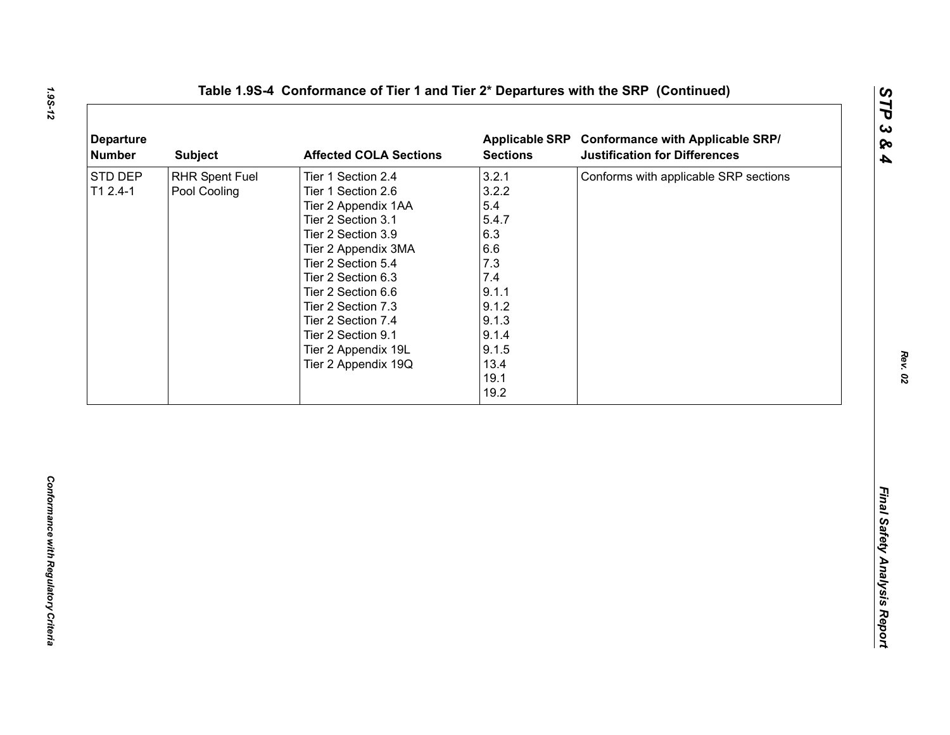| <b>Departure</b><br><b>Number</b> | <b>Subject</b>                 | <b>Affected COLA Sections</b>                                                                                                                                                                                                                                                                                        | <b>Sections</b>                                                                                                                 | Applicable SRP Conformance with Applicable SRP/<br><b>Justification for Differences</b> |
|-----------------------------------|--------------------------------|----------------------------------------------------------------------------------------------------------------------------------------------------------------------------------------------------------------------------------------------------------------------------------------------------------------------|---------------------------------------------------------------------------------------------------------------------------------|-----------------------------------------------------------------------------------------|
| STD DEP<br>$T12.4-1$              | RHR Spent Fuel<br>Pool Cooling | Tier 1 Section 2.4<br>Tier 1 Section 2.6<br>Tier 2 Appendix 1AA<br>Tier 2 Section 3.1<br>Tier 2 Section 3.9<br>Tier 2 Appendix 3MA<br>Tier 2 Section 5.4<br>Tier 2 Section 6.3<br>Tier 2 Section 6.6<br>Tier 2 Section 7.3<br>Tier 2 Section 7.4<br>Tier 2 Section 9.1<br>Tier 2 Appendix 19L<br>Tier 2 Appendix 19Q | 3.2.1<br>3.2.2<br>5.4<br>5.4.7<br>6.3<br>6.6<br>7.3<br>7.4<br>9.1.1<br>9.1.2<br>9.1.3<br>9.1.4<br>9.1.5<br>13.4<br>19.1<br>19.2 | Conforms with applicable SRP sections                                                   |
|                                   |                                |                                                                                                                                                                                                                                                                                                                      |                                                                                                                                 |                                                                                         |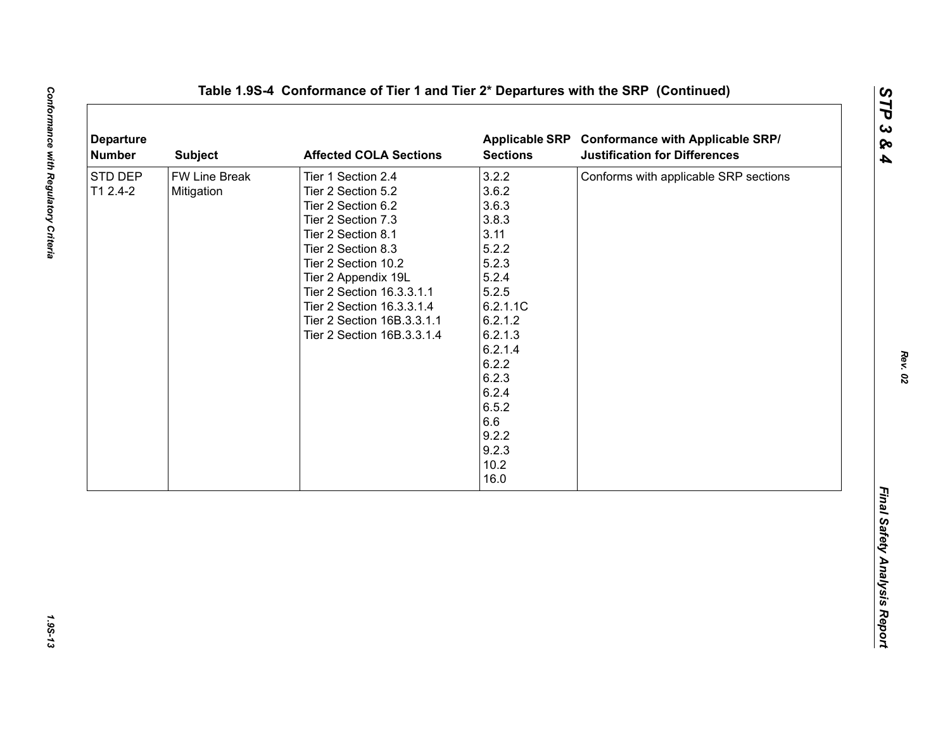| <b>Departure</b><br><b>Number</b> | <b>Subject</b>              | <b>Affected COLA Sections</b>                                                                                                                                                                                                                                                                        | <b>Sections</b>                                                                                                                                                                                        | Applicable SRP Conformance with Applicable SRP/<br><b>Justification for Differences</b> |
|-----------------------------------|-----------------------------|------------------------------------------------------------------------------------------------------------------------------------------------------------------------------------------------------------------------------------------------------------------------------------------------------|--------------------------------------------------------------------------------------------------------------------------------------------------------------------------------------------------------|-----------------------------------------------------------------------------------------|
| STD DEP<br>T1 2.4-2               | FW Line Break<br>Mitigation | Tier 1 Section 2.4<br>Tier 2 Section 5.2<br>Tier 2 Section 6.2<br>Tier 2 Section 7.3<br>Tier 2 Section 8.1<br>Tier 2 Section 8.3<br>Tier 2 Section 10.2<br>Tier 2 Appendix 19L<br>Tier 2 Section 16.3.3.1.1<br>Tier 2 Section 16.3.3.1.4<br>Tier 2 Section 16B.3.3.1.1<br>Tier 2 Section 16B.3.3.1.4 | 3.2.2<br>3.6.2<br>3.6.3<br>3.8.3<br>3.11<br>5.2.2<br>5.2.3<br>5.2.4<br>5.2.5<br>6.2.1.1C<br>6.2.1.2<br>6.2.1.3<br>6.2.1.4<br>6.2.2<br>6.2.3<br>6.2.4<br>6.5.2<br>6.6<br>9.2.2<br>9.2.3<br>10.2<br>16.0 | Conforms with applicable SRP sections                                                   |

1.95-13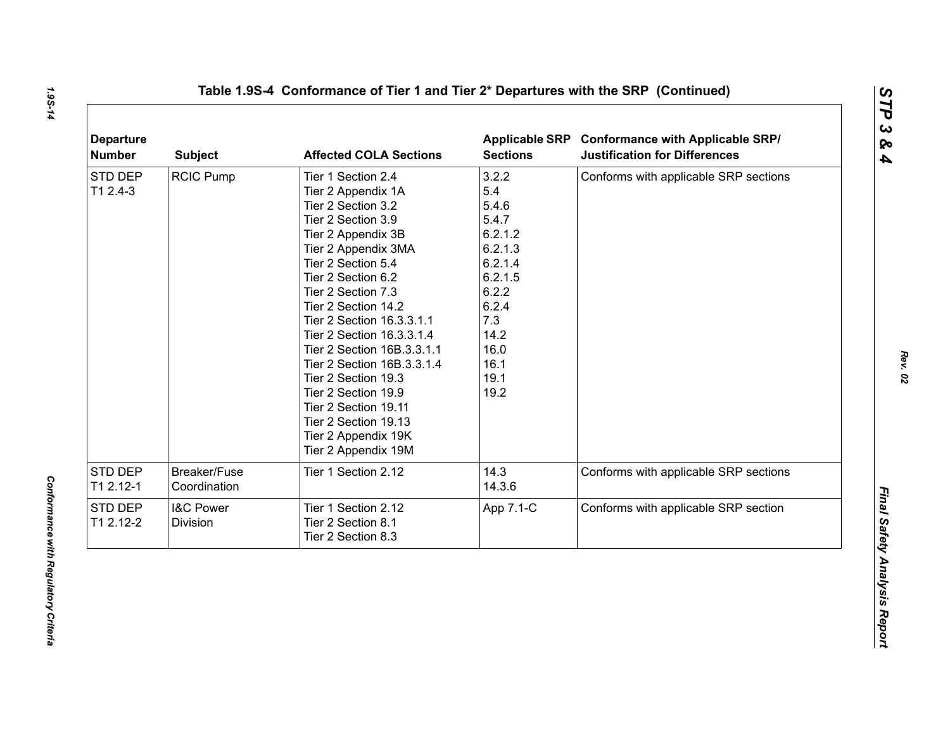| <b>Departure</b><br><b>Number</b> | <b>Subject</b>                   | <b>Affected COLA Sections</b>                                                                                                                                                                                                                                                                                                                                                                                                                                                                | <b>Sections</b>                                                                                                                             | Applicable SRP Conformance with Applicable SRP/<br><b>Justification for Differences</b> |
|-----------------------------------|----------------------------------|----------------------------------------------------------------------------------------------------------------------------------------------------------------------------------------------------------------------------------------------------------------------------------------------------------------------------------------------------------------------------------------------------------------------------------------------------------------------------------------------|---------------------------------------------------------------------------------------------------------------------------------------------|-----------------------------------------------------------------------------------------|
| STD DEP<br>$T12.4-3$              | <b>RCIC Pump</b>                 | Tier 1 Section 2.4<br>Tier 2 Appendix 1A<br>Tier 2 Section 3.2<br>Tier 2 Section 3.9<br>Tier 2 Appendix 3B<br>Tier 2 Appendix 3MA<br>Tier 2 Section 5.4<br>Tier 2 Section 6.2<br>Tier 2 Section 7.3<br>Tier 2 Section 14.2<br>Tier 2 Section 16.3.3.1.1<br>Tier 2 Section 16.3.3.1.4<br>Tier 2 Section 16B.3.3.1.1<br>Tier 2 Section 16B.3.3.1.4<br>Tier 2 Section 19.3<br>Tier 2 Section 19.9<br>Tier 2 Section 19.11<br>Tier 2 Section 19.13<br>Tier 2 Appendix 19K<br>Tier 2 Appendix 19M | 3.2.2<br>5.4<br>5.4.6<br>5.4.7<br>6.2.1.2<br>6.2.1.3<br>6.2.1.4<br>6.2.1.5<br>6.2.2<br>6.2.4<br>7.3<br>14.2<br>16.0<br>16.1<br>19.1<br>19.2 | Conforms with applicable SRP sections                                                   |
| <b>STD DEP</b><br>T1 2.12-1       | Breaker/Fuse<br>Coordination     | Tier 1 Section 2.12                                                                                                                                                                                                                                                                                                                                                                                                                                                                          | 14.3<br>14.3.6                                                                                                                              | Conforms with applicable SRP sections                                                   |
| STD DEP<br>T1 2.12-2              | <b>I&amp;C Power</b><br>Division | Tier 1 Section 2.12<br>Tier 2 Section 8.1<br>Tier 2 Section 8.3                                                                                                                                                                                                                                                                                                                                                                                                                              | App 7.1-C                                                                                                                                   | Conforms with applicable SRP section                                                    |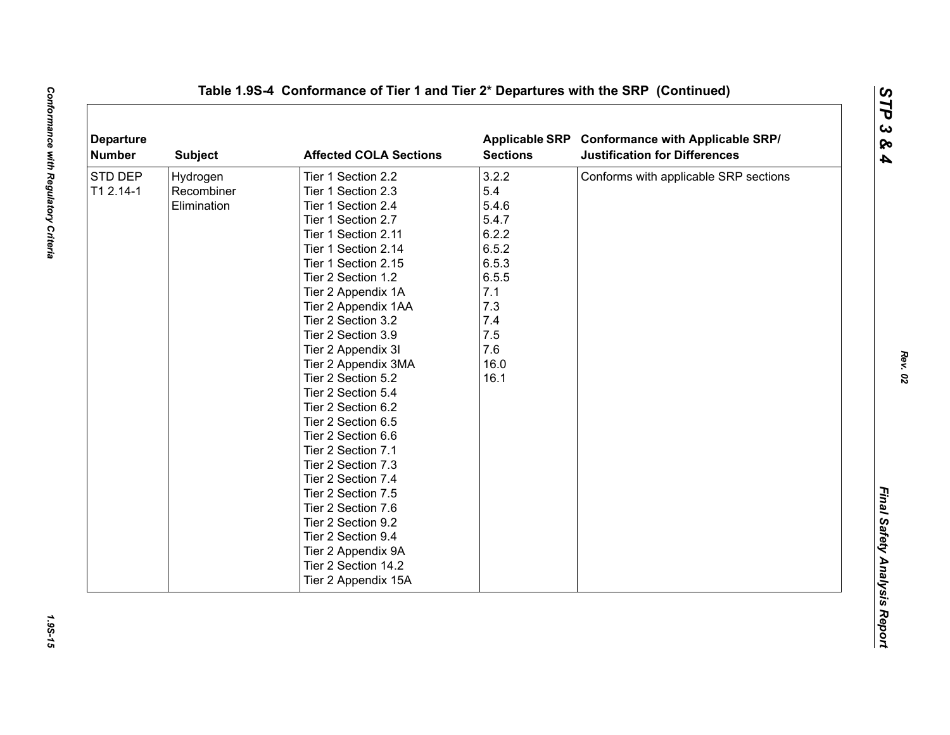| <b>Departure</b><br><b>Number</b> | <b>Subject</b> | <b>Affected COLA Sections</b> | <b>Applicable SRP</b><br><b>Sections</b> | <b>Conformance with Applicable SRP/</b><br><b>Justification for Differences</b> |
|-----------------------------------|----------------|-------------------------------|------------------------------------------|---------------------------------------------------------------------------------|
| STD DEP                           | Hydrogen       | Tier 1 Section 2.2            | 3.2.2                                    | Conforms with applicable SRP sections                                           |
| T1 2.14-1                         | Recombiner     | Tier 1 Section 2.3            | 5.4                                      |                                                                                 |
|                                   | Elimination    | Tier 1 Section 2.4            | 5.4.6                                    |                                                                                 |
|                                   |                | Tier 1 Section 2.7            | 5.4.7                                    |                                                                                 |
|                                   |                | Tier 1 Section 2.11           | 6.2.2                                    |                                                                                 |
|                                   |                | Tier 1 Section 2.14           | 6.5.2                                    |                                                                                 |
|                                   |                | Tier 1 Section 2.15           | 6.5.3                                    |                                                                                 |
|                                   |                | Tier 2 Section 1.2            | 6.5.5                                    |                                                                                 |
|                                   |                | Tier 2 Appendix 1A            | 7.1                                      |                                                                                 |
|                                   |                | Tier 2 Appendix 1AA           | 7.3                                      |                                                                                 |
|                                   |                | Tier 2 Section 3.2            | 7.4                                      |                                                                                 |
|                                   |                | Tier 2 Section 3.9            | 7.5                                      |                                                                                 |
|                                   |                | Tier 2 Appendix 3I            | 7.6                                      |                                                                                 |
|                                   |                | Tier 2 Appendix 3MA           | 16.0                                     |                                                                                 |
|                                   |                | Tier 2 Section 5.2            | 16.1                                     |                                                                                 |
|                                   |                | Tier 2 Section 5.4            |                                          |                                                                                 |
|                                   |                | Tier 2 Section 6.2            |                                          |                                                                                 |
|                                   |                | Tier 2 Section 6.5            |                                          |                                                                                 |
|                                   |                | Tier 2 Section 6.6            |                                          |                                                                                 |
|                                   |                | Tier 2 Section 7.1            |                                          |                                                                                 |
|                                   |                | Tier 2 Section 7.3            |                                          |                                                                                 |
|                                   |                | Tier 2 Section 7.4            |                                          |                                                                                 |
|                                   |                | Tier 2 Section 7.5            |                                          |                                                                                 |
|                                   |                | Tier 2 Section 7.6            |                                          |                                                                                 |
|                                   |                | Tier 2 Section 9.2            |                                          |                                                                                 |
|                                   |                | Tier 2 Section 9.4            |                                          |                                                                                 |
|                                   |                | Tier 2 Appendix 9A            |                                          |                                                                                 |
|                                   |                | Tier 2 Section 14.2           |                                          |                                                                                 |
|                                   |                | Tier 2 Appendix 15A           |                                          |                                                                                 |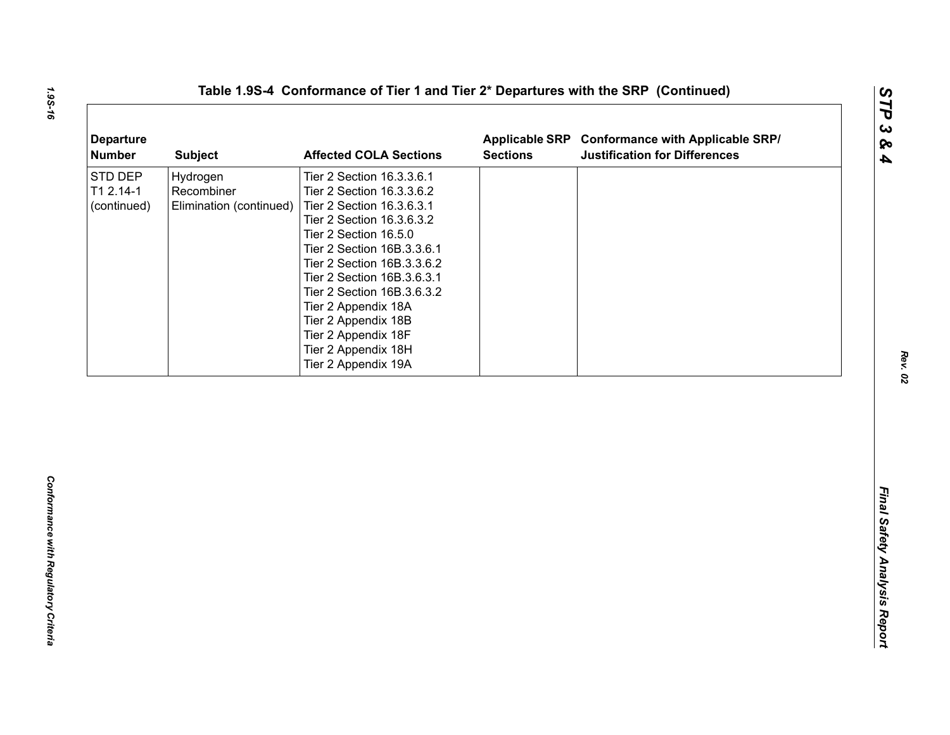| <b>Departure</b><br><b>Number</b>   | <b>Subject</b>                                    | <b>Affected COLA Sections</b>                                                                                                                                                                                                                                                                                                                                                        | <b>Sections</b> | Applicable SRP Conformance with Applicable SRP/<br><b>Justification for Differences</b> |
|-------------------------------------|---------------------------------------------------|--------------------------------------------------------------------------------------------------------------------------------------------------------------------------------------------------------------------------------------------------------------------------------------------------------------------------------------------------------------------------------------|-----------------|-----------------------------------------------------------------------------------------|
| STD DEP<br>T1 2.14-1<br>(continued) | Hydrogen<br>Recombiner<br>Elimination (continued) | Tier 2 Section 16.3.3.6.1<br>Tier 2 Section 16.3.3.6.2<br>Tier 2 Section 16.3.6.3.1<br>Tier 2 Section 16.3.6.3.2<br>Tier 2 Section 16.5.0<br>Tier 2 Section 16B.3.3.6.1<br>Tier 2 Section 16B.3.3.6.2<br>Tier 2 Section 16B.3.6.3.1<br>Tier 2 Section 16B.3.6.3.2<br>Tier 2 Appendix 18A<br>Tier 2 Appendix 18B<br>Tier 2 Appendix 18F<br>Tier 2 Appendix 18H<br>Tier 2 Appendix 19A |                 |                                                                                         |
|                                     |                                                   |                                                                                                                                                                                                                                                                                                                                                                                      |                 |                                                                                         |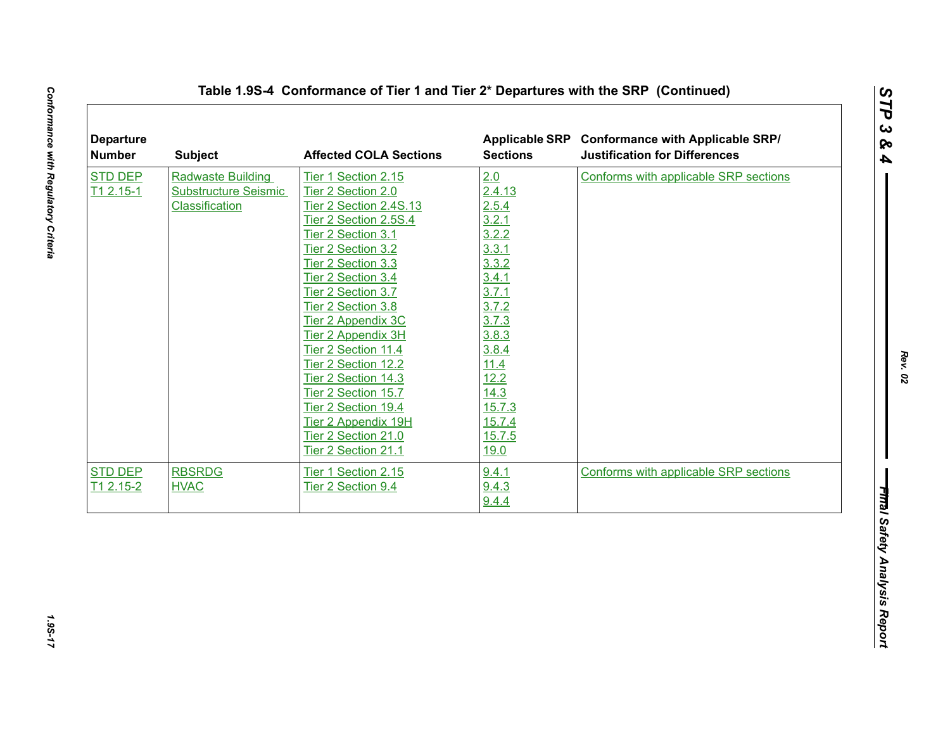| <b>STD DEP</b> | <b>Subject</b>              | <b>Affected COLA Sections</b> | <b>Sections</b> | Applicable SRP Conformance with Applicable SRP/<br><b>Justification for Differences</b> |
|----------------|-----------------------------|-------------------------------|-----------------|-----------------------------------------------------------------------------------------|
|                | <b>Radwaste Building</b>    | Tier 1 Section 2.15           | 2.0             | Conforms with applicable SRP sections                                                   |
| $T12.15-1$     | <b>Substructure Seismic</b> | Tier 2 Section 2.0            | 2.4.13          |                                                                                         |
|                | Classification              | Tier 2 Section 2.4S.13        | 2.5.4           |                                                                                         |
|                |                             | Tier 2 Section 2.5S.4         | 3.2.1           |                                                                                         |
|                |                             | Tier 2 Section 3.1            | 3.2.2           |                                                                                         |
|                |                             | Tier 2 Section 3.2            | 3.3.1           |                                                                                         |
|                |                             | Tier 2 Section 3.3            | 3.3.2           |                                                                                         |
|                |                             | Tier 2 Section 3.4            | 3.4.1           |                                                                                         |
|                |                             | Tier 2 Section 3.7            | 3.7.1           |                                                                                         |
|                |                             | Tier 2 Section 3.8            | 3.7.2           |                                                                                         |
|                |                             | Tier 2 Appendix 3C            | 3.7.3           |                                                                                         |
|                |                             | Tier 2 Appendix 3H            | 3.8.3           |                                                                                         |
|                |                             | Tier 2 Section 11.4           | 3.8.4           |                                                                                         |
|                |                             | Tier 2 Section 12.2           | 11.4            |                                                                                         |
|                |                             | Tier 2 Section 14.3           | 12.2            |                                                                                         |
|                |                             | Tier 2 Section 15.7           | 14.3            |                                                                                         |
|                |                             | Tier 2 Section 19.4           | 15.7.3          |                                                                                         |
|                |                             | Tier 2 Appendix 19H           | 15.7.4          |                                                                                         |
|                |                             | Tier 2 Section 21.0           | 15.7.5          |                                                                                         |
|                |                             | Tier 2 Section 21.1           | 19.0            |                                                                                         |
| <b>STD DEP</b> | <b>RBSRDG</b>               | Tier 1 Section 2.15           | 9.4.1           | Conforms with applicable SRP sections                                                   |
| T1 2.15-2      | <b>HVAC</b>                 | Tier 2 Section 9.4            | 9.4.3           |                                                                                         |
|                |                             |                               | 9.4.4           |                                                                                         |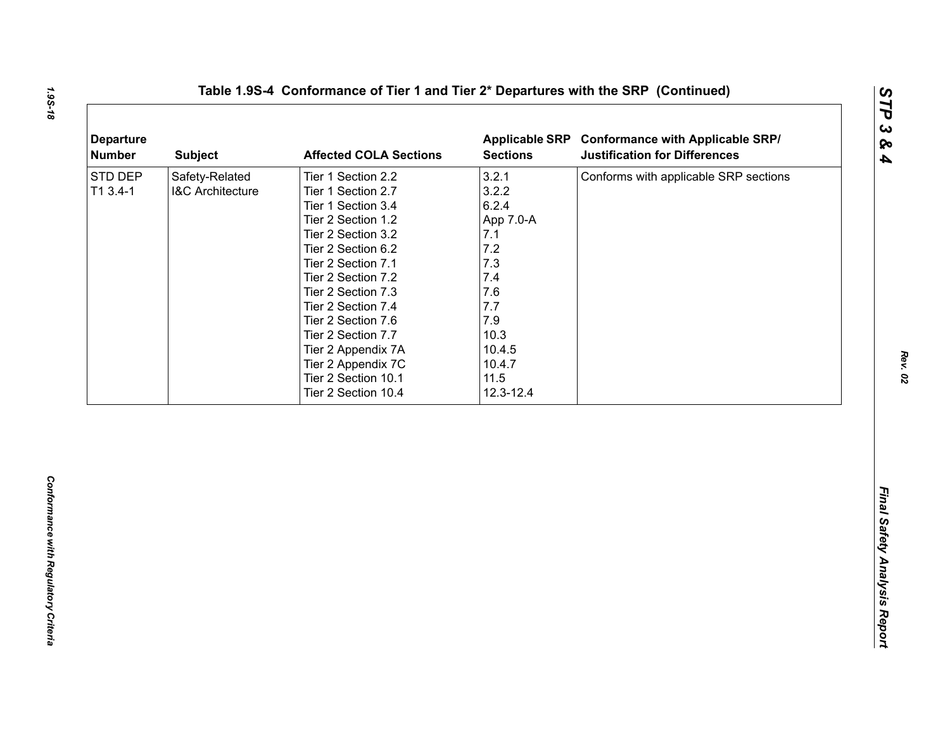| <b>Departure</b><br><b>Number</b> | <b>Subject</b>                                | <b>Affected COLA Sections</b>                                                                                                                                                                                                                                                                                    | <b>Sections</b>                                                                                                   | Applicable SRP Conformance with Applicable SRP/<br><b>Justification for Differences</b> |
|-----------------------------------|-----------------------------------------------|------------------------------------------------------------------------------------------------------------------------------------------------------------------------------------------------------------------------------------------------------------------------------------------------------------------|-------------------------------------------------------------------------------------------------------------------|-----------------------------------------------------------------------------------------|
| STD DEP<br>T1 3.4-1               | Safety-Related<br><b>I&amp;C Architecture</b> | Tier 1 Section 2.2<br>Tier 1 Section 2.7<br>Tier 1 Section 3.4<br>Tier 2 Section 1.2<br>Tier 2 Section 3.2<br>Tier 2 Section 6.2<br>Tier 2 Section 7.1<br>Tier 2 Section 7.2<br>Tier 2 Section 7.3<br>Tier 2 Section 7.4<br>Tier 2 Section 7.6<br>Tier 2 Section 7.7<br>Tier 2 Appendix 7A<br>Tier 2 Appendix 7C | 3.2.1<br>3.2.2<br>6.2.4<br>App 7.0-A<br>7.1<br>7.2<br>7.3<br>7.4<br>7.6<br>7.7<br>7.9<br>10.3<br>10.4.5<br>10.4.7 | Conforms with applicable SRP sections                                                   |
|                                   |                                               | Tier 2 Section 10.1<br>Tier 2 Section 10.4                                                                                                                                                                                                                                                                       | 11.5<br>12.3-12.4                                                                                                 |                                                                                         |

*STP 3 & 4*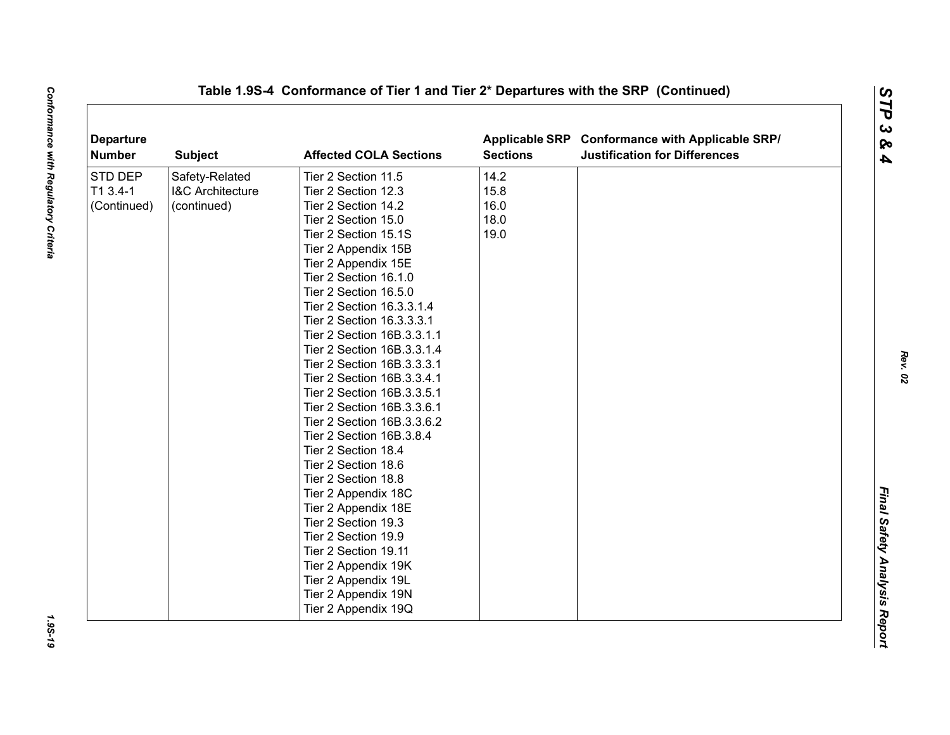| <b>Departure</b><br><b>Number</b> | <b>Subject</b>              | <b>Affected COLA Sections</b> | <b>Sections</b> | Applicable SRP Conformance with Applicable SRP/<br><b>Justification for Differences</b> |  |
|-----------------------------------|-----------------------------|-------------------------------|-----------------|-----------------------------------------------------------------------------------------|--|
| <b>STD DEP</b>                    | Safety-Related              | Tier 2 Section 11.5           | 14.2            |                                                                                         |  |
| $T13.4-1$                         | <b>I&amp;C Architecture</b> | Tier 2 Section 12.3           | 15.8            |                                                                                         |  |
| (Continued)                       | (continued)                 | Tier 2 Section 14.2           | 16.0            |                                                                                         |  |
|                                   |                             | Tier 2 Section 15.0           | 18.0            |                                                                                         |  |
|                                   |                             | Tier 2 Section 15.1S          | 19.0            |                                                                                         |  |
|                                   |                             | Tier 2 Appendix 15B           |                 |                                                                                         |  |
|                                   |                             | Tier 2 Appendix 15E           |                 |                                                                                         |  |
|                                   |                             | Tier 2 Section 16.1.0         |                 |                                                                                         |  |
|                                   |                             | Tier 2 Section 16.5.0         |                 |                                                                                         |  |
|                                   |                             | Tier 2 Section 16.3.3.1.4     |                 |                                                                                         |  |
|                                   |                             | Tier 2 Section 16.3.3.3.1     |                 |                                                                                         |  |
|                                   |                             | Tier 2 Section 16B.3.3.1.1    |                 |                                                                                         |  |
|                                   |                             | Tier 2 Section 16B.3.3.1.4    |                 |                                                                                         |  |
|                                   |                             | Tier 2 Section 16B.3.3.3.1    |                 |                                                                                         |  |
|                                   |                             | Tier 2 Section 16B.3.3.4.1    |                 |                                                                                         |  |
|                                   |                             | Tier 2 Section 16B.3.3.5.1    |                 |                                                                                         |  |
|                                   |                             | Tier 2 Section 16B.3.3.6.1    |                 |                                                                                         |  |
|                                   |                             | Tier 2 Section 16B.3.3.6.2    |                 |                                                                                         |  |
|                                   |                             | Tier 2 Section 16B.3.8.4      |                 |                                                                                         |  |
|                                   |                             | Tier 2 Section 18.4           |                 |                                                                                         |  |
|                                   |                             | Tier 2 Section 18.6           |                 |                                                                                         |  |
|                                   |                             | Tier 2 Section 18.8           |                 |                                                                                         |  |
|                                   |                             | Tier 2 Appendix 18C           |                 |                                                                                         |  |
|                                   |                             | Tier 2 Appendix 18E           |                 |                                                                                         |  |
|                                   |                             | Tier 2 Section 19.3           |                 |                                                                                         |  |
|                                   |                             | Tier 2 Section 19.9           |                 |                                                                                         |  |
|                                   |                             | Tier 2 Section 19.11          |                 |                                                                                         |  |
|                                   |                             | Tier 2 Appendix 19K           |                 |                                                                                         |  |
|                                   |                             | Tier 2 Appendix 19L           |                 |                                                                                         |  |
|                                   |                             | Tier 2 Appendix 19N           |                 |                                                                                         |  |
|                                   |                             | Tier 2 Appendix 19Q           |                 |                                                                                         |  |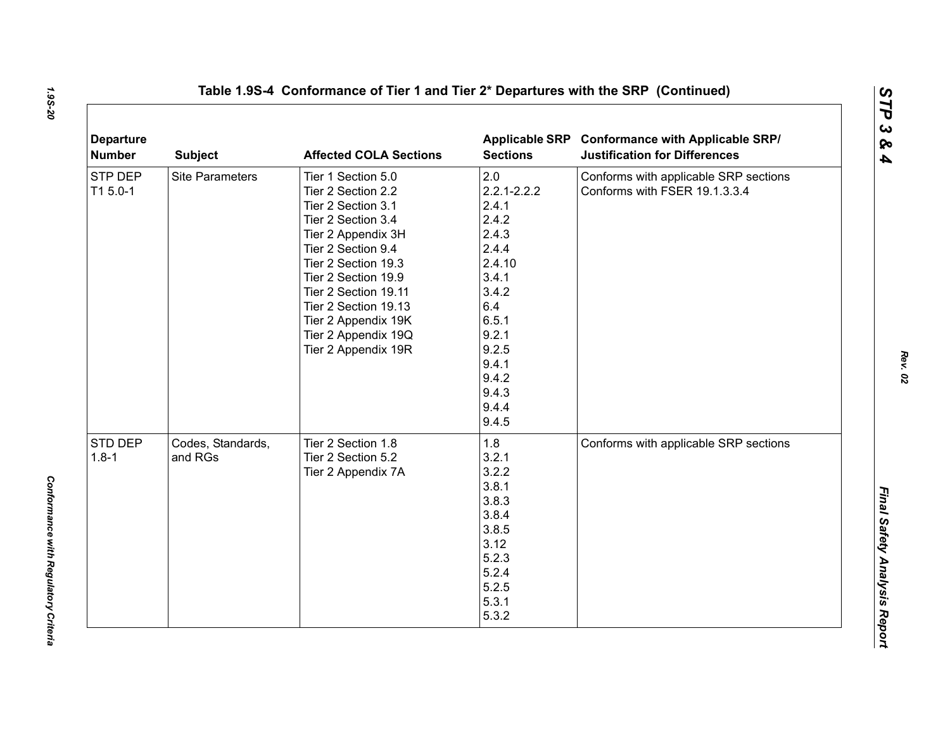| <b>Departure</b><br><b>Number</b> | <b>Subject</b>               | <b>Affected COLA Sections</b>                                                                                                                                                                                                                                                                       | <b>Sections</b>                                                                                                                                                       | Applicable SRP Conformance with Applicable SRP/<br><b>Justification for Differences</b> |
|-----------------------------------|------------------------------|-----------------------------------------------------------------------------------------------------------------------------------------------------------------------------------------------------------------------------------------------------------------------------------------------------|-----------------------------------------------------------------------------------------------------------------------------------------------------------------------|-----------------------------------------------------------------------------------------|
| STP DEP<br>T1 5.0-1               | <b>Site Parameters</b>       | Tier 1 Section 5.0<br>Tier 2 Section 2.2<br>Tier 2 Section 3.1<br>Tier 2 Section 3.4<br>Tier 2 Appendix 3H<br>Tier 2 Section 9.4<br>Tier 2 Section 19.3<br>Tier 2 Section 19.9<br>Tier 2 Section 19.11<br>Tier 2 Section 19.13<br>Tier 2 Appendix 19K<br>Tier 2 Appendix 19Q<br>Tier 2 Appendix 19R | 2.0<br>$2.2.1 - 2.2.2$<br>2.4.1<br>2.4.2<br>2.4.3<br>2.4.4<br>2.4.10<br>3.4.1<br>3.4.2<br>6.4<br>6.5.1<br>9.2.1<br>9.2.5<br>9.4.1<br>9.4.2<br>9.4.3<br>9.4.4<br>9.4.5 | Conforms with applicable SRP sections<br>Conforms with FSER 19.1.3.3.4                  |
| STD DEP<br>$1.8 - 1$              | Codes, Standards,<br>and RGs | Tier 2 Section 1.8<br>Tier 2 Section 5.2<br>Tier 2 Appendix 7A                                                                                                                                                                                                                                      | 1.8<br>3.2.1<br>3.2.2<br>3.8.1<br>3.8.3<br>3.8.4<br>3.8.5<br>3.12<br>5.2.3<br>5.2.4<br>5.2.5<br>5.3.1<br>5.3.2                                                        | Conforms with applicable SRP sections                                                   |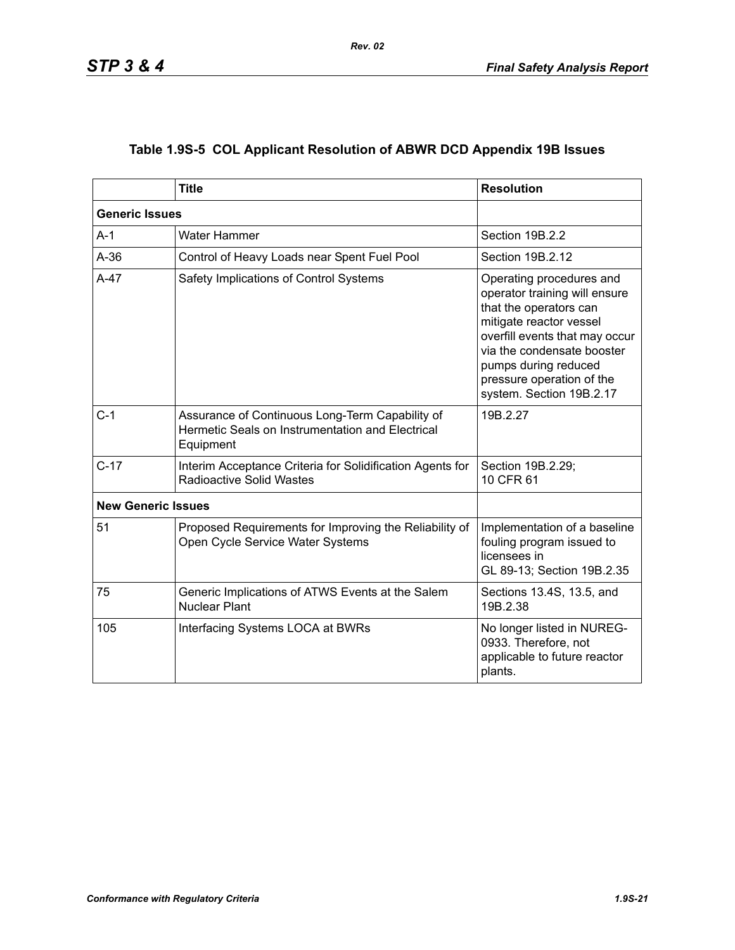|                           | <b>Title</b>                                                                                                     | <b>Resolution</b>                                                                                                                                                                                                                                               |
|---------------------------|------------------------------------------------------------------------------------------------------------------|-----------------------------------------------------------------------------------------------------------------------------------------------------------------------------------------------------------------------------------------------------------------|
| <b>Generic Issues</b>     |                                                                                                                  |                                                                                                                                                                                                                                                                 |
| $A-1$                     | <b>Water Hammer</b>                                                                                              | Section 19B.2.2                                                                                                                                                                                                                                                 |
| $A-36$                    | Control of Heavy Loads near Spent Fuel Pool                                                                      | Section 19B.2.12                                                                                                                                                                                                                                                |
| $A-47$                    | Safety Implications of Control Systems                                                                           | Operating procedures and<br>operator training will ensure<br>that the operators can<br>mitigate reactor vessel<br>overfill events that may occur<br>via the condensate booster<br>pumps during reduced<br>pressure operation of the<br>system. Section 19B.2.17 |
| $C-1$                     | Assurance of Continuous Long-Term Capability of<br>Hermetic Seals on Instrumentation and Electrical<br>Equipment | 19B.2.27                                                                                                                                                                                                                                                        |
| $C-17$                    | Interim Acceptance Criteria for Solidification Agents for<br><b>Radioactive Solid Wastes</b>                     | Section 19B.2.29;<br>10 CFR 61                                                                                                                                                                                                                                  |
| <b>New Generic Issues</b> |                                                                                                                  |                                                                                                                                                                                                                                                                 |
| 51                        | Proposed Requirements for Improving the Reliability of<br>Open Cycle Service Water Systems                       | Implementation of a baseline<br>fouling program issued to<br>licensees in<br>GL 89-13; Section 19B.2.35                                                                                                                                                         |
| 75                        | Generic Implications of ATWS Events at the Salem<br><b>Nuclear Plant</b>                                         | Sections 13.4S, 13.5, and<br>19B.2.38                                                                                                                                                                                                                           |
| 105                       | Interfacing Systems LOCA at BWRs                                                                                 | No longer listed in NUREG-<br>0933. Therefore, not<br>applicable to future reactor<br>plants.                                                                                                                                                                   |

# **Table 1.9S-5 COL Applicant Resolution of ABWR DCD Appendix 19B Issues**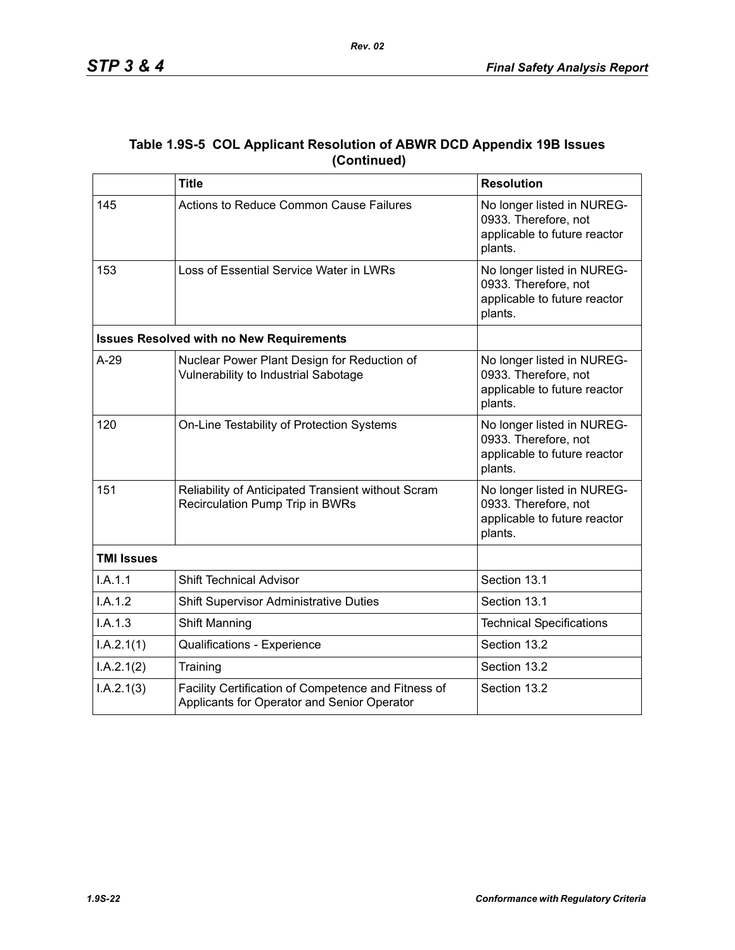|                   | <b>Title</b>                                                                                       | <b>Resolution</b>                                                                             |
|-------------------|----------------------------------------------------------------------------------------------------|-----------------------------------------------------------------------------------------------|
| 145               | Actions to Reduce Common Cause Failures                                                            | No longer listed in NUREG-<br>0933. Therefore, not<br>applicable to future reactor<br>plants. |
| 153               | Loss of Essential Service Water in LWRs                                                            | No longer listed in NUREG-<br>0933. Therefore, not<br>applicable to future reactor<br>plants. |
|                   | <b>Issues Resolved with no New Requirements</b>                                                    |                                                                                               |
| $A-29$            | Nuclear Power Plant Design for Reduction of<br>Vulnerability to Industrial Sabotage                | No longer listed in NUREG-<br>0933. Therefore, not<br>applicable to future reactor<br>plants. |
| 120               | On-Line Testability of Protection Systems                                                          | No longer listed in NUREG-<br>0933. Therefore, not<br>applicable to future reactor<br>plants. |
| 151               | Reliability of Anticipated Transient without Scram<br>Recirculation Pump Trip in BWRs              | No longer listed in NUREG-<br>0933. Therefore, not<br>applicable to future reactor<br>plants. |
| <b>TMI Issues</b> |                                                                                                    |                                                                                               |
| I.A.1.1           | <b>Shift Technical Advisor</b>                                                                     | Section 13.1                                                                                  |
| I.A.1.2           | <b>Shift Supervisor Administrative Duties</b>                                                      | Section 13.1                                                                                  |
| I.A.1.3           | <b>Shift Manning</b>                                                                               | <b>Technical Specifications</b>                                                               |
| I.A.2.1(1)        | Qualifications - Experience                                                                        | Section 13.2                                                                                  |
| I.A.2.1(2)        | Training                                                                                           | Section 13.2                                                                                  |
| I.A.2.1(3)        | Facility Certification of Competence and Fitness of<br>Applicants for Operator and Senior Operator | Section 13.2                                                                                  |

### **Table 1.9S-5 COL Applicant Resolution of ABWR DCD Appendix 19B Issues (Continued)**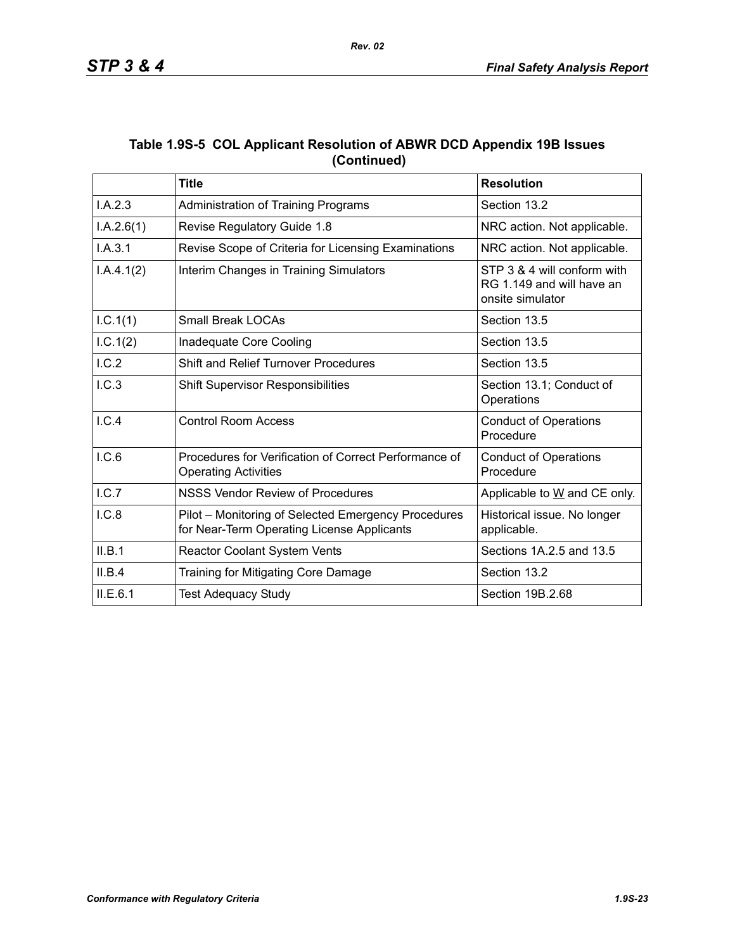| Table 1.9S-5 COL Applicant Resolution of ABWR DCD Appendix 19B Issues |  |  |
|-----------------------------------------------------------------------|--|--|
| (Continued)                                                           |  |  |

|            | <b>Title</b>                                                                                      | <b>Resolution</b>                                                            |
|------------|---------------------------------------------------------------------------------------------------|------------------------------------------------------------------------------|
| I.A.2.3    | Administration of Training Programs                                                               | Section 13.2                                                                 |
| I.A.2.6(1) | Revise Regulatory Guide 1.8                                                                       | NRC action. Not applicable.                                                  |
| I.A.3.1    | Revise Scope of Criteria for Licensing Examinations                                               | NRC action. Not applicable.                                                  |
| I.A.4.1(2) | Interim Changes in Training Simulators                                                            | STP 3 & 4 will conform with<br>RG 1.149 and will have an<br>onsite simulator |
| I.C.1(1)   | <b>Small Break LOCAs</b>                                                                          | Section 13.5                                                                 |
| 1.C.1(2)   | Inadequate Core Cooling                                                                           | Section 13.5                                                                 |
| I.C.2      | <b>Shift and Relief Turnover Procedures</b>                                                       | Section 13.5                                                                 |
| I.C.3      | <b>Shift Supervisor Responsibilities</b>                                                          | Section 13.1; Conduct of<br>Operations                                       |
| I.C.4      | <b>Control Room Access</b>                                                                        | <b>Conduct of Operations</b><br>Procedure                                    |
| I.C.6      | Procedures for Verification of Correct Performance of<br><b>Operating Activities</b>              | <b>Conduct of Operations</b><br>Procedure                                    |
| L.C.7      | NSSS Vendor Review of Procedures                                                                  | Applicable to W and CE only.                                                 |
| I.C.8      | Pilot – Monitoring of Selected Emergency Procedures<br>for Near-Term Operating License Applicants | Historical issue. No longer<br>applicable.                                   |
| II.B.1     | Reactor Coolant System Vents                                                                      | Sections 1A.2.5 and 13.5                                                     |
| II.B.4     | Training for Mitigating Core Damage                                                               | Section 13.2                                                                 |
| ILE.6.1    | <b>Test Adequacy Study</b>                                                                        | Section 19B.2.68                                                             |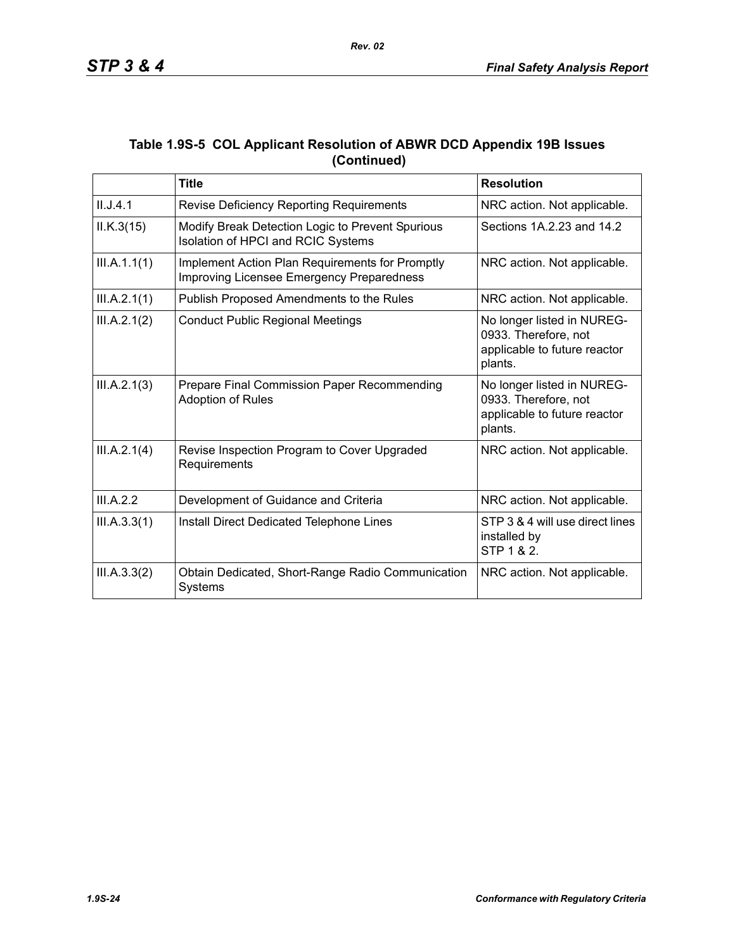|             |  |  |  | Table 1.9S-5 COL Applicant Resolution of ABWR DCD Appendix 19B Issues |  |
|-------------|--|--|--|-----------------------------------------------------------------------|--|
| (Continued) |  |  |  |                                                                       |  |

|              | <b>Title</b>                                                                                 | <b>Resolution</b>                                                                             |
|--------------|----------------------------------------------------------------------------------------------|-----------------------------------------------------------------------------------------------|
| II.J.4.1     | Revise Deficiency Reporting Requirements                                                     | NRC action. Not applicable.                                                                   |
| ILK.3(15)    | Modify Break Detection Logic to Prevent Spurious<br>Isolation of HPCI and RCIC Systems       | Sections 1A.2.23 and 14.2                                                                     |
| III.A.1.1(1) | Implement Action Plan Requirements for Promptly<br>Improving Licensee Emergency Preparedness | NRC action. Not applicable.                                                                   |
| III.A.2.1(1) | Publish Proposed Amendments to the Rules                                                     | NRC action. Not applicable.                                                                   |
| III.A.2.1(2) | <b>Conduct Public Regional Meetings</b>                                                      | No longer listed in NUREG-<br>0933. Therefore, not<br>applicable to future reactor<br>plants. |
| III.A.2.1(3) | Prepare Final Commission Paper Recommending<br><b>Adoption of Rules</b>                      | No longer listed in NUREG-<br>0933. Therefore, not<br>applicable to future reactor<br>plants. |
| III.A.2.1(4) | Revise Inspection Program to Cover Upgraded<br>Requirements                                  | NRC action. Not applicable.                                                                   |
| III.A.2.2    | Development of Guidance and Criteria                                                         | NRC action. Not applicable.                                                                   |
| III.A.3.3(1) | Install Direct Dedicated Telephone Lines                                                     | STP 3 & 4 will use direct lines<br>installed by<br>STP 1 & 2.                                 |
| III.A.3.3(2) | Obtain Dedicated, Short-Range Radio Communication<br>Systems                                 | NRC action. Not applicable.                                                                   |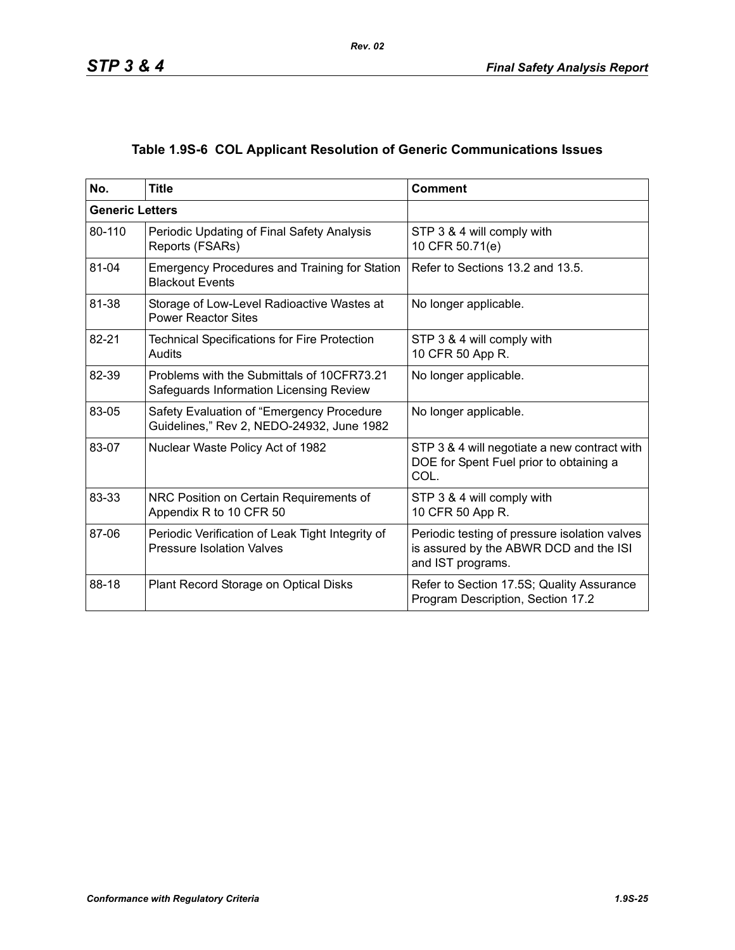# **Table 1.9S-6 COL Applicant Resolution of Generic Communications Issues**

| No.                    | <b>Title</b>                                                                           | <b>Comment</b>                                                                                               |
|------------------------|----------------------------------------------------------------------------------------|--------------------------------------------------------------------------------------------------------------|
| <b>Generic Letters</b> |                                                                                        |                                                                                                              |
| 80-110                 | Periodic Updating of Final Safety Analysis<br>Reports (FSARs)                          | STP 3 & 4 will comply with<br>10 CFR 50.71(e)                                                                |
| 81-04                  | <b>Emergency Procedures and Training for Station</b><br><b>Blackout Events</b>         | Refer to Sections 13.2 and 13.5.                                                                             |
| 81-38                  | Storage of Low-Level Radioactive Wastes at<br><b>Power Reactor Sites</b>               | No longer applicable.                                                                                        |
| 82-21                  | <b>Technical Specifications for Fire Protection</b><br>Audits                          | STP 3 & 4 will comply with<br>10 CFR 50 App R.                                                               |
| 82-39                  | Problems with the Submittals of 10CFR73.21<br>Safeguards Information Licensing Review  | No longer applicable.                                                                                        |
| 83-05                  | Safety Evaluation of "Emergency Procedure<br>Guidelines," Rev 2, NEDO-24932, June 1982 | No longer applicable.                                                                                        |
| 83-07                  | Nuclear Waste Policy Act of 1982                                                       | STP 3 & 4 will negotiate a new contract with<br>DOE for Spent Fuel prior to obtaining a<br>COL.              |
| 83-33                  | NRC Position on Certain Requirements of<br>Appendix R to 10 CFR 50                     | STP 3 & 4 will comply with<br>10 CFR 50 App R.                                                               |
| 87-06                  | Periodic Verification of Leak Tight Integrity of<br><b>Pressure Isolation Valves</b>   | Periodic testing of pressure isolation valves<br>is assured by the ABWR DCD and the ISI<br>and IST programs. |
| 88-18                  | Plant Record Storage on Optical Disks                                                  | Refer to Section 17.5S; Quality Assurance<br>Program Description, Section 17.2                               |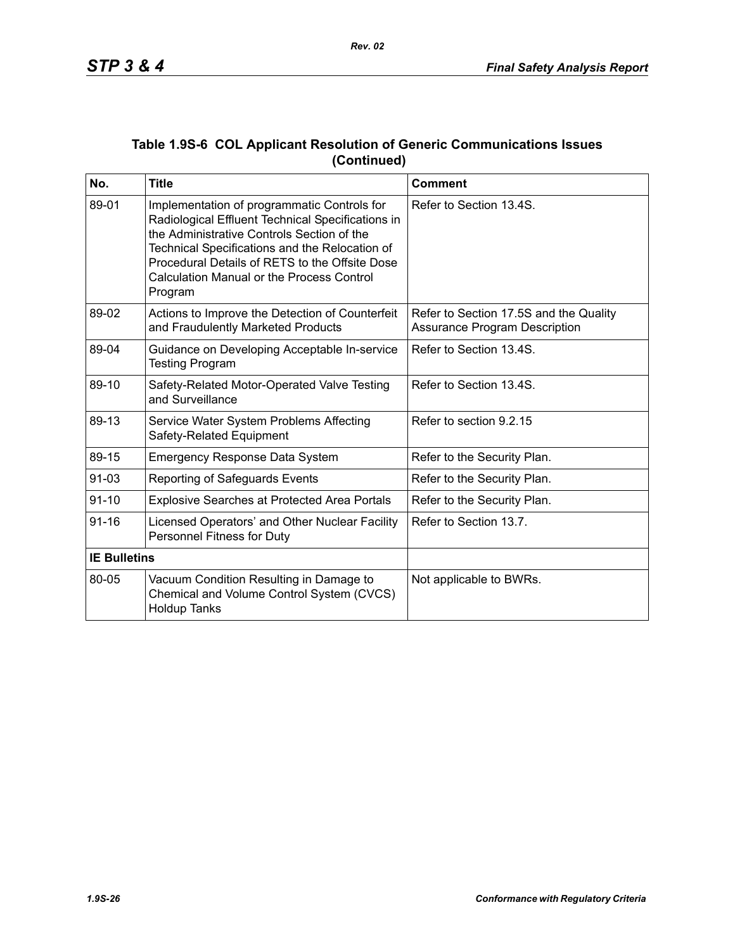| No.                 | <b>Title</b>                                                                                                                                                                                                                                                                                                      | <b>Comment</b>                                                                 |
|---------------------|-------------------------------------------------------------------------------------------------------------------------------------------------------------------------------------------------------------------------------------------------------------------------------------------------------------------|--------------------------------------------------------------------------------|
| 89-01               | Implementation of programmatic Controls for<br>Radiological Effluent Technical Specifications in<br>the Administrative Controls Section of the<br>Technical Specifications and the Relocation of<br>Procedural Details of RETS to the Offsite Dose<br><b>Calculation Manual or the Process Control</b><br>Program | Refer to Section 13.4S.                                                        |
| 89-02               | Actions to Improve the Detection of Counterfeit<br>and Fraudulently Marketed Products                                                                                                                                                                                                                             | Refer to Section 17.5S and the Quality<br><b>Assurance Program Description</b> |
| 89-04               | Guidance on Developing Acceptable In-service<br><b>Testing Program</b>                                                                                                                                                                                                                                            | Refer to Section 13.4S.                                                        |
| 89-10               | Safety-Related Motor-Operated Valve Testing<br>and Surveillance                                                                                                                                                                                                                                                   | Refer to Section 13.4S.                                                        |
| 89-13               | Service Water System Problems Affecting<br>Safety-Related Equipment                                                                                                                                                                                                                                               | Refer to section 9.2.15                                                        |
| 89-15               | <b>Emergency Response Data System</b>                                                                                                                                                                                                                                                                             | Refer to the Security Plan.                                                    |
| $91 - 03$           | Reporting of Safeguards Events                                                                                                                                                                                                                                                                                    | Refer to the Security Plan.                                                    |
| $91 - 10$           | <b>Explosive Searches at Protected Area Portals</b>                                                                                                                                                                                                                                                               | Refer to the Security Plan.                                                    |
| $91 - 16$           | Licensed Operators' and Other Nuclear Facility<br>Personnel Fitness for Duty                                                                                                                                                                                                                                      | Refer to Section 13.7.                                                         |
| <b>IE Bulletins</b> |                                                                                                                                                                                                                                                                                                                   |                                                                                |
| 80-05               | Vacuum Condition Resulting in Damage to<br>Chemical and Volume Control System (CVCS)<br><b>Holdup Tanks</b>                                                                                                                                                                                                       | Not applicable to BWRs.                                                        |

### **Table 1.9S-6 COL Applicant Resolution of Generic Communications Issues (Continued)**